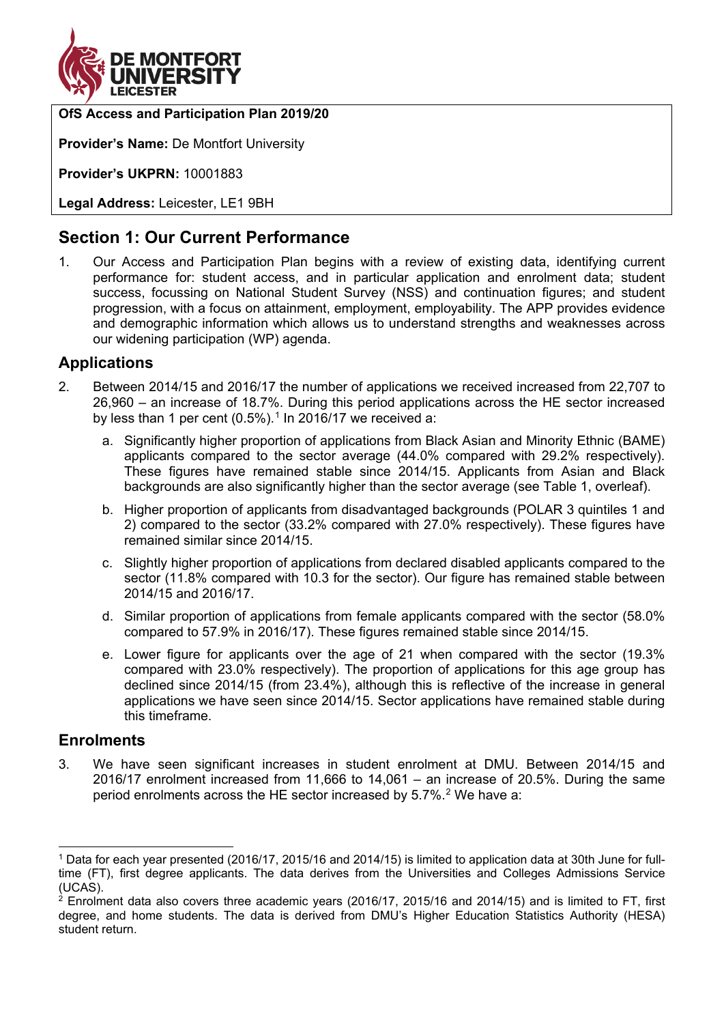

## **OfS Access and Participation Plan 2019/20**

**Provider's Name:** De Montfort University

**Provider's UKPRN:** 10001883

**Legal Address:** Leicester, LE1 9BH

# **Section 1: Our Current Performance**

1. Our Access and Participation Plan begins with a review of existing data, identifying current performance for: student access, and in particular application and enrolment data; student success, focussing on National Student Survey (NSS) and continuation figures; and student progression, with a focus on attainment, employment, employability. The APP provides evidence and demographic information which allows us to understand strengths and weaknesses across our widening participation (WP) agenda.

## **Applications**

- 2. Between 2014/15 and 2016/17 the number of applications we received increased from 22,707 to 26,960 – an increase of 18.7%. During this period applications across the HE sector increased by less than [1](#page-0-0) per cent  $(0.5\%)$ .<sup>1</sup> In 2016/17 we received a:
	- a. Significantly higher proportion of applications from Black Asian and Minority Ethnic (BAME) applicants compared to the sector average (44.0% compared with 29.2% respectively). These figures have remained stable since 2014/15. Applicants from Asian and Black backgrounds are also significantly higher than the sector average (see [Table 1,](#page-1-0) overleaf).
	- b. Higher proportion of applicants from disadvantaged backgrounds (POLAR 3 quintiles 1 and 2) compared to the sector (33.2% compared with 27.0% respectively). These figures have remained similar since 2014/15.
	- c. Slightly higher proportion of applications from declared disabled applicants compared to the sector (11.8% compared with 10.3 for the sector). Our figure has remained stable between 2014/15 and 2016/17.
	- d. Similar proportion of applications from female applicants compared with the sector (58.0% compared to 57.9% in 2016/17). These figures remained stable since 2014/15.
	- e. Lower figure for applicants over the age of 21 when compared with the sector (19.3% compared with 23.0% respectively). The proportion of applications for this age group has declined since 2014/15 (from 23.4%), although this is reflective of the increase in general applications we have seen since 2014/15. Sector applications have remained stable during this timeframe.

## **Enrolments**

3. We have seen significant increases in student enrolment at DMU. Between 2014/15 and 2016/17 enrolment increased from 11,666 to 14,061 – an increase of 20.5%. During the same period enrolments across the HE sector increased by 5.7%.<sup>[2](#page-0-1)</sup> We have a:

<span id="page-0-0"></span> <sup>1</sup> Data for each year presented (2016/17, 2015/16 and 2014/15) is limited to application data at 30th June for fulltime (FT), first degree applicants. The data derives from the Universities and Colleges Admissions Service (UCAS).

<span id="page-0-1"></span> $^2$  Enrolment data also covers three academic vears (2016/17, 2015/16 and 2014/15) and is limited to FT, first degree, and home students. The data is derived from DMU's Higher Education Statistics Authority (HESA) student return.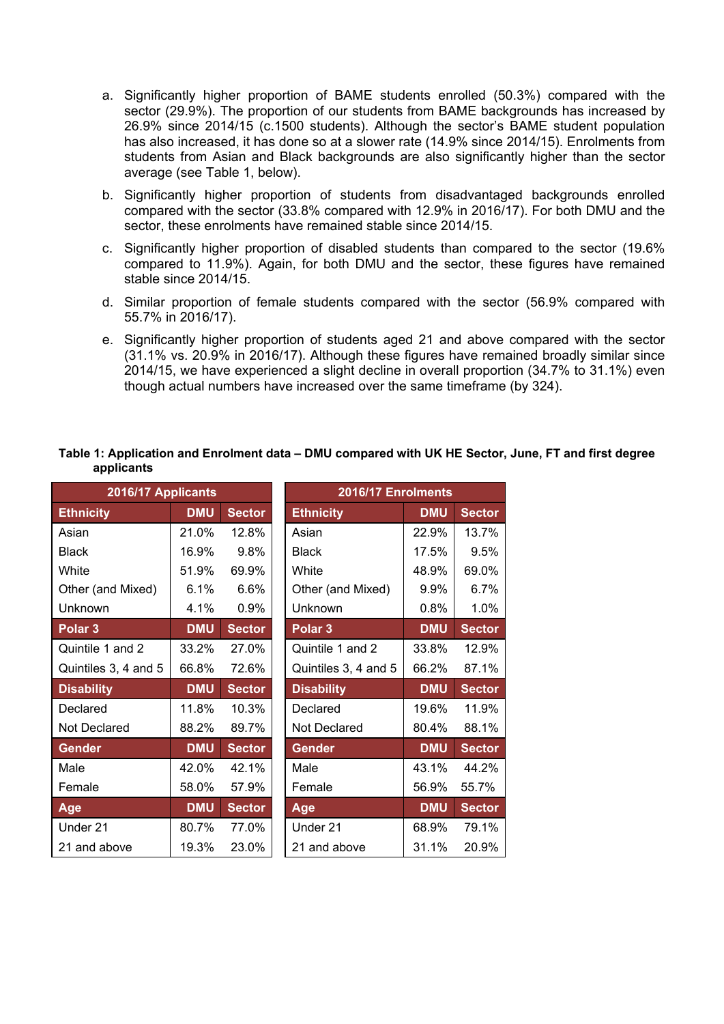- a. Significantly higher proportion of BAME students enrolled (50.3%) compared with the sector (29.9%). The proportion of our students from BAME backgrounds has increased by 26.9% since 2014/15 (c.1500 students). Although the sector's BAME student population has also increased, it has done so at a slower rate (14.9% since 2014/15). Enrolments from students from Asian and Black backgrounds are also significantly higher than the sector average (see [Table 1,](#page-1-0) below).
- b. Significantly higher proportion of students from disadvantaged backgrounds enrolled compared with the sector (33.8% compared with 12.9% in 2016/17). For both DMU and the sector, these enrolments have remained stable since 2014/15.
- c. Significantly higher proportion of disabled students than compared to the sector (19.6% compared to 11.9%). Again, for both DMU and the sector, these figures have remained stable since 2014/15.
- d. Similar proportion of female students compared with the sector (56.9% compared with 55.7% in 2016/17).
- <span id="page-1-0"></span>e. Significantly higher proportion of students aged 21 and above compared with the sector (31.1% vs. 20.9% in 2016/17). Although these figures have remained broadly similar since 2014/15, we have experienced a slight decline in overall proportion (34.7% to 31.1%) even though actual numbers have increased over the same timeframe (by 324).

#### **Table 1: Application and Enrolment data – DMU compared with UK HE Sector, June, FT and first degree applicants**

| 2016/17 Applicants   |            |               |                    | 2016/17 Enrolments   |            |               |
|----------------------|------------|---------------|--------------------|----------------------|------------|---------------|
| <b>Ethnicity</b>     | <b>DMU</b> | <b>Sector</b> | <b>Ethnicity</b>   |                      | <b>DMU</b> | <b>Sector</b> |
| Asian                | 21.0%      | 12.8%         | Asian              |                      |            | 13.7%         |
| <b>Black</b>         | 16.9%      | 9.8%          | <b>Black</b>       |                      | 17.5%      | 9.5%          |
| White                | 51.9%      | 69.9%         | White              |                      | 48.9%      | 69.0%         |
| Other (and Mixed)    | 6.1%       | 6.6%          | Other (and Mixed)  |                      | 9.9%       | 6.7%          |
| Unknown              | 4.1%       | 0.9%          | Unknown            |                      |            | 1.0%          |
| Polar <sub>3</sub>   | <b>DMU</b> | <b>Sector</b> | Polar <sub>3</sub> |                      | <b>DMU</b> | <b>Sector</b> |
| Quintile 1 and 2     | 33.2%      | 27.0%         |                    | Quintile 1 and 2     |            | 12.9%         |
| Quintiles 3, 4 and 5 | 66.8%      | 72.6%         |                    | Quintiles 3, 4 and 5 |            | 87.1%         |
| <b>Disability</b>    | <b>DMU</b> | <b>Sector</b> | <b>Disability</b>  |                      | <b>DMU</b> | <b>Sector</b> |
| Declared             | 11.8%      | 10.3%         | Declared           |                      | 19.6%      | 11.9%         |
| Not Declared         | 88.2%      | 89.7%         | Not Declared       |                      | 80.4%      | 88.1%         |
| <b>Gender</b>        | <b>DMU</b> | <b>Sector</b> | <b>Gender</b>      |                      | <b>DMU</b> | <b>Sector</b> |
| Male                 | 42.0%      | 42.1%         | Male               |                      | 43.1%      | 44.2%         |
| Female               | 58.0%      | 57.9%         | Female             |                      | 56.9%      | 55.7%         |
| Age                  | <b>DMU</b> | <b>Sector</b> | Age                |                      | <b>DMU</b> | <b>Sector</b> |
| Under 21             | 80.7%      | 77.0%         | Under 21           |                      | 68.9%      | 79.1%         |
| 21 and above         | 19.3%      | 23.0%         | 21 and above       |                      | 31.1%      | 20.9%         |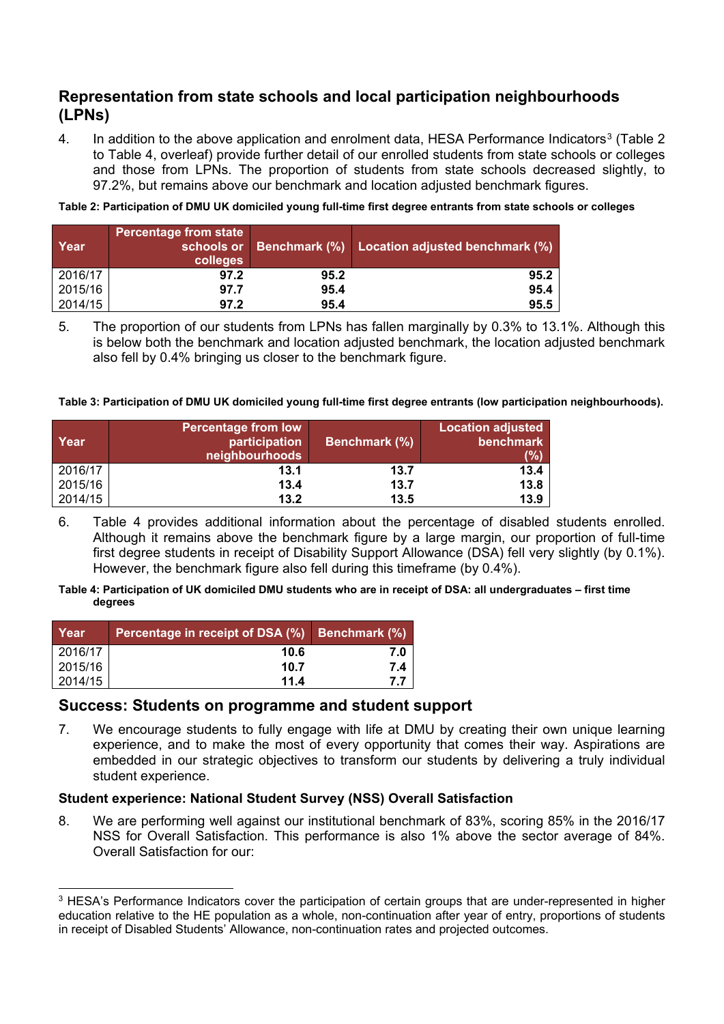# **Representation from state schools and local participation neighbourhoods (LPNs)**

4. In addition to the above application and enrolment data, HESA Performance Indicators<sup>[3](#page-2-2)</sup> [\(Table 2](#page-2-0)) to [Table 4,](#page-2-1) overleaf) provide further detail of our enrolled students from state schools or colleges and those from LPNs. The proportion of students from state schools decreased slightly, to 97.2%, but remains above our benchmark and location adjusted benchmark figures.

<span id="page-2-0"></span>**Table 2: Participation of DMU UK domiciled young full-time first degree entrants from state schools or colleges**

| Year    | <b>Percentage from state</b><br>colleges |      | schools or Benchmark (%) Location adjusted benchmark (%) |
|---------|------------------------------------------|------|----------------------------------------------------------|
| 2016/17 |                                          | 95.2 |                                                          |
| 2015/16 |                                          | 95.4 |                                                          |
| 2014/15 |                                          | 95.4 |                                                          |

<sup>5.</sup> The proportion of our students from LPNs has fallen marginally by 0.3% to 13.1%. Although this is below both the benchmark and location adjusted benchmark, the location adjusted benchmark also fell by 0.4% bringing us closer to the benchmark figure.

**Table 3: Participation of DMU UK domiciled young full-time first degree entrants (low participation neighbourhoods).**

| Year    | <b>Percentage from low</b><br>participation<br>neighbourhoods | <b>Benchmark</b> (%) | <b>Location adjusted</b><br><b>benchmark</b> |
|---------|---------------------------------------------------------------|----------------------|----------------------------------------------|
| 2016/17 | 13.1                                                          | 13.7                 |                                              |
| 2015/16 | 13.4                                                          | 13 7                 | 13 P                                         |
| 2014/15 | 13.2                                                          | 13.5                 |                                              |

6. [Table 4](#page-2-1) provides additional information about the percentage of disabled students enrolled. Although it remains above the benchmark figure by a large margin, our proportion of full-time first degree students in receipt of Disability Support Allowance (DSA) fell very slightly (by 0.1%). However, the benchmark figure also fell during this timeframe (by 0.4%).

#### <span id="page-2-1"></span>**Table 4: Participation of UK domiciled DMU students who are in receipt of DSA: all undergraduates – first time degrees**

| Year    | Percentage in receipt of DSA (%) | Benchmark (%) |
|---------|----------------------------------|---------------|
| 2016/17 |                                  |               |
| 2015/16 |                                  |               |
|         |                                  |               |

## **Success: Students on programme and student support**

7. We encourage students to fully engage with life at DMU by creating their own unique learning experience, and to make the most of every opportunity that comes their way. Aspirations are embedded in our strategic objectives to transform our students by delivering a truly individual student experience.

## **Student experience: National Student Survey (NSS) Overall Satisfaction**

8. We are performing well against our institutional benchmark of 83%, scoring 85% in the 2016/17 NSS for Overall Satisfaction. This performance is also 1% above the sector average of 84%. Overall Satisfaction for our:

<span id="page-2-2"></span><sup>&</sup>lt;sup>3</sup> HESA's Performance Indicators cover the participation of certain groups that are under-represented in higher education relative to the HE population as a whole, non-continuation after year of entry, proportions of students in receipt of Disabled Students' Allowance, non-continuation rates and projected outcomes.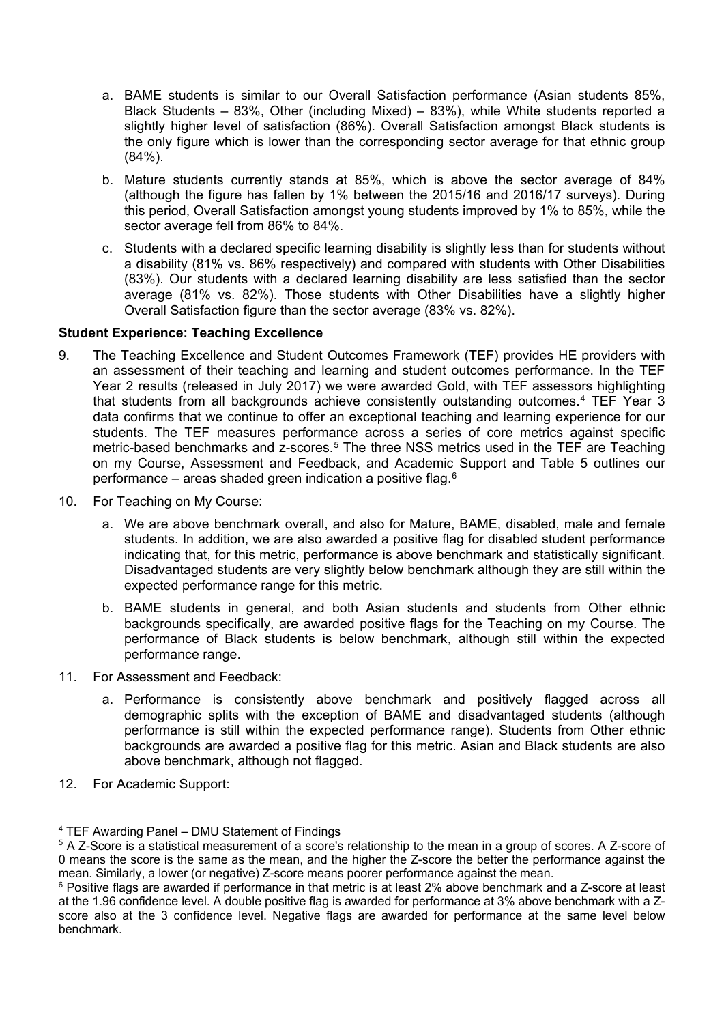- a. BAME students is similar to our Overall Satisfaction performance (Asian students 85%, Black Students – 83%, Other (including Mixed) – 83%), while White students reported a slightly higher level of satisfaction (86%). Overall Satisfaction amongst Black students is the only figure which is lower than the corresponding sector average for that ethnic group (84%).
- b. Mature students currently stands at 85%, which is above the sector average of 84% (although the figure has fallen by 1% between the 2015/16 and 2016/17 surveys). During this period, Overall Satisfaction amongst young students improved by 1% to 85%, while the sector average fell from 86% to 84%.
- c. Students with a declared specific learning disability is slightly less than for students without a disability (81% vs. 86% respectively) and compared with students with Other Disabilities (83%). Our students with a declared learning disability are less satisfied than the sector average (81% vs. 82%). Those students with Other Disabilities have a slightly higher Overall Satisfaction figure than the sector average (83% vs. 82%).

## **Student Experience: Teaching Excellence**

- 9. The Teaching Excellence and Student Outcomes Framework (TEF) provides HE providers with an assessment of their teaching and learning and student outcomes performance. In the TEF Year 2 results (released in July 2017) we were awarded Gold, with TEF assessors highlighting that students from all backgrounds achieve consistently outstanding outcomes.<sup>[4](#page-3-0)</sup> TEF Year 3 data confirms that we continue to offer an exceptional teaching and learning experience for our students. The TEF measures performance across a series of core metrics against specific metric-based benchmarks and z-scores.[5](#page-3-1) The three NSS metrics used in the TEF are Teaching on my Course, Assessment and Feedback, and Academic Support and [Table 5](#page-4-0) outlines our performance – areas shaded green indication a positive flag.[6](#page-3-2)
- 10. For Teaching on My Course:
	- a. We are above benchmark overall, and also for Mature, BAME, disabled, male and female students. In addition, we are also awarded a positive flag for disabled student performance indicating that, for this metric, performance is above benchmark and statistically significant. Disadvantaged students are very slightly below benchmark although they are still within the expected performance range for this metric.
	- b. BAME students in general, and both Asian students and students from Other ethnic backgrounds specifically, are awarded positive flags for the Teaching on my Course. The performance of Black students is below benchmark, although still within the expected performance range.
- 11. For Assessment and Feedback:
	- a. Performance is consistently above benchmark and positively flagged across all demographic splits with the exception of BAME and disadvantaged students (although performance is still within the expected performance range). Students from Other ethnic backgrounds are awarded a positive flag for this metric. Asian and Black students are also above benchmark, although not flagged.
- 12. For Academic Support:

<span id="page-3-0"></span> <sup>4</sup> TEF Awarding Panel – DMU Statement of Findings

<span id="page-3-1"></span><sup>&</sup>lt;sup>5</sup> A Z-Score is a statistical measurement of a score's relationship to the mean in a group of scores. A Z-score of 0 means the score is the same as the mean, and the higher the Z-score the better the performance against the mean. Similarly, a lower (or negative) Z-score means poorer performance against the mean.

<span id="page-3-2"></span><sup>6</sup> Positive flags are awarded if performance in that metric is at least 2% above benchmark and a Z-score at least at the 1.96 confidence level. A double positive flag is awarded for performance at 3% above benchmark with a Zscore also at the 3 confidence level. Negative flags are awarded for performance at the same level below benchmark.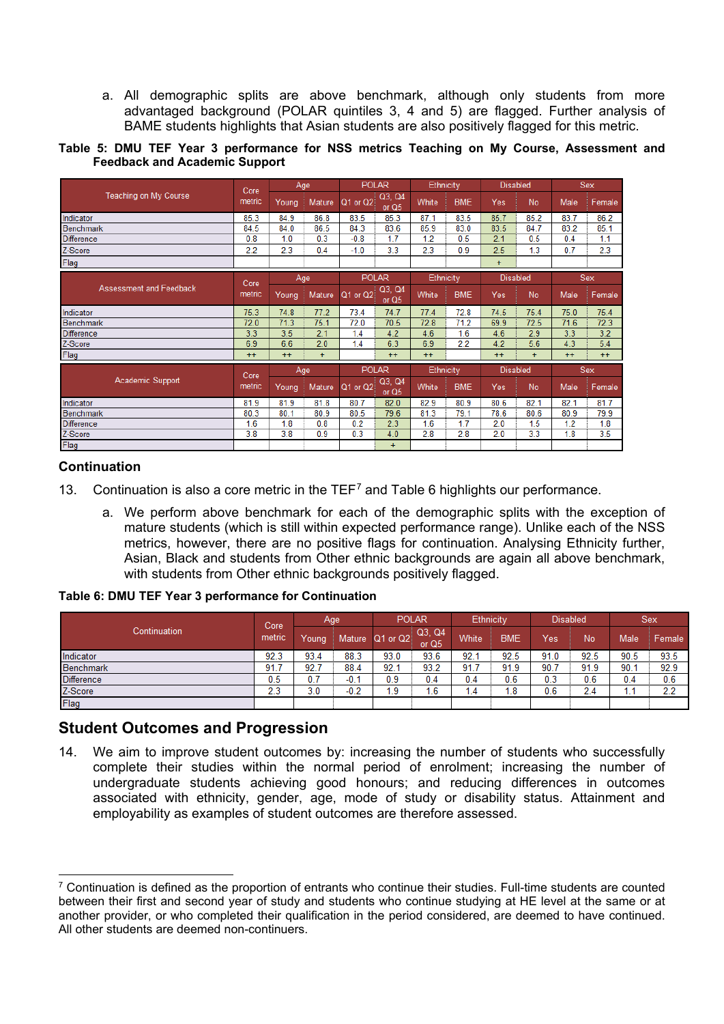a. All demographic splits are above benchmark, although only students from more advantaged background (POLAR quintiles 3, 4 and 5) are flagged. Further analysis of BAME students highlights that Asian students are also positively flagged for this metric.

<span id="page-4-0"></span>**Table 5: DMU TEF Year 3 performance for NSS metrics Teaching on My Course, Assessment and Feedback and Academic Support**

|                                | Core   |       | Age    | <b>POLAR</b> |                   | Ethnicity |            | <b>Disabled</b> |      |      | <b>Sex</b> |
|--------------------------------|--------|-------|--------|--------------|-------------------|-----------|------------|-----------------|------|------|------------|
| Teaching on My Course          | metric | Young | Mature | $Q1$ or $Q2$ | Q3, Q4<br>or $Q5$ | White     | <b>BME</b> | Yes             | No   | Male | Female     |
| Indicator                      | 85.3   | 84.9  | 86.8   | 83.5         | 85.3              | 87.1      | 83.5       | 85.7            | 85.2 | 83.7 | 86.2       |
| <b>Benchmark</b>               | 84.5   | 84.0  | 86.5   | 84.3         | 83.6              | 85.9      | 83.0       | 83.5            | 84.7 | 83.2 | 85.1       |
| <b>Difference</b>              | 0.8    | 1.0   | 0.3    | $-0.8$       | 1.7               | 1.2       | 0.5        | 2.1             | 0.5  | 0.4  | 1.1        |
| Z-Score                        | 2.2    | 2.3   | 0.4    | $-1.0$       | 3.3               | 2.3       | 0.9        | 2.5             | 1.3  | 0.7  | 2.3        |
| Flag                           |        |       |        |              |                   |           |            | $+$             |      |      |            |
|                                | Core   |       | Age    | <b>POLAR</b> |                   | Ethnicity |            | <b>Disabled</b> |      |      | Sex        |
| <b>Assessment and Feedback</b> | metric | Young | Mature | Q1 or Q2     | Q3, Q4<br>or Q5   | White     | <b>BME</b> | Yes             | No   | Male | Female     |
| Indicator                      | 75.3   | 74.8  | 77.2   | 73.4         | 74.7              | 77.4      | 72.8       | 74.5            | 75.4 | 75.0 | 75.4       |
| <b>Benchmark</b>               | 72.0   | 71.3  | 75.1   | 72.0         | 70.5              | 72.8      | 71.2       | 69.9            | 72.5 | 71.6 | 72.3       |
| <b>Difference</b>              | 3.3    | 3.5   | 2.1    | 1.4          | 4.2               | 4.6       | 1.6        | 4.6             | 2.9  | 3.3  | 3.2        |
| Z-Score                        | 6.9    | 6.6   | 2.0    | 1.4          | 6.3               | 6.9       | 2.2        | 4.2             | 5.6  | 4.3  | 5.4        |
| Flag                           | $++$   | $++$  | $+$    |              | $++$              | $++$      |            | $++$            | $+$  | $++$ | $++$       |
|                                | Core   |       | Age    | <b>POLAR</b> |                   | Ethnicity |            | <b>Disabled</b> |      |      | <b>Sex</b> |
| <b>Academic Support</b>        | metric | Young | Mature | Q1 or Q2     | Q3, Q4<br>or $Q5$ | White     | <b>BME</b> | Yes             | No   | Male | Female     |
| Indicator                      | 81.9   | 81.9  | 81.8   | 80.7         | 82.0              | 82.9      | 80.9       | 80.6            | 82.1 | 82.1 | 81.7       |
| <b>Benchmark</b>               | 80.3   | 80.1  | 80.9   | 80.5         | 79.6              | 81.3      | 79.1       | 78.6            | 80.6 | 80.9 | 79.9       |
| <b>Difference</b>              | 1.6    | 1.8   | 0.8    | 0.2          | 2.3               | 1.6       | 1.7        | 2.0             | 1.5  | 1.2  | 1.8        |
| Z-Score                        | 3.8    | 3.8   | 0.9    | 0.3          | 4.0               | 2.8       | 2.8        | 2.0             | 3.3  | 1.8  | 3.5        |
| Flag                           |        |       |        |              | $+$               |           |            |                 |      |      |            |

## **Continuation**

- 13. Continuation is also a core metric in the TEF<sup>[7](#page-4-2)</sup> and [Table 6](#page-4-1) highlights our performance.
	- a. We perform above benchmark for each of the demographic splits with the exception of mature students (which is still within expected performance range). Unlike each of the NSS metrics, however, there are no positive flags for continuation. Analysing Ethnicity further, Asian, Black and students from Other ethnic backgrounds are again all above benchmark, with students from Other ethnic backgrounds positively flagged.

#### <span id="page-4-1"></span>**Table 6: DMU TEF Year 3 performance for Continuation**

|                   | Core   |       | Age    |                 | <b>POLAR</b>               | Ethnicity    |            | <b>Disabled</b> |      |      | Sex    |
|-------------------|--------|-------|--------|-----------------|----------------------------|--------------|------------|-----------------|------|------|--------|
| Continuation      | metric | Young |        | Mature Q1 or Q2 | $\log 2$ Q3, Q4<br>or $Q5$ | <b>White</b> | <b>BME</b> | Yes             | No   | Male | Female |
| Indicator         | 92.3   | 93.4  | 88.3   | 93.0            | 93.6                       | 92.1         | 92.5       | 91.0            | 92.5 | 90.5 | 93.5   |
| Benchmark         | 91.7   | 92.7  | 88.4   | 92.1            | 93.2                       | 91.7         | 91.9       | 90.7            | 91.9 | 90.1 | 92.9   |
| <b>Difference</b> | 0.5    | 0.7   | $-0.1$ | 0.9             | 0.4                        | 0.4          | 0.6        | 0.3             | 0.6  | 0.4  | 0.6    |
| Z-Score           | 2.3    | 3.0   | $-0.2$ | 1.9             | 1.6                        | 1.4          | 1.8        | 0.6             | 2.4  | . .  | 2.2    |
| Flag              |        |       |        |                 |                            |              |            |                 |      |      |        |

## **Student Outcomes and Progression**

14. We aim to improve student outcomes by: increasing the number of students who successfully complete their studies within the normal period of enrolment; increasing the number of undergraduate students achieving good honours; and reducing differences in outcomes associated with ethnicity, gender, age, mode of study or disability status. Attainment and employability as examples of student outcomes are therefore assessed.

<span id="page-4-2"></span> $7$  Continuation is defined as the proportion of entrants who continue their studies. Full-time students are counted between their first and second year of study and students who continue studying at HE level at the same or at another provider, or who completed their qualification in the period considered, are deemed to have continued. All other students are deemed non-continuers.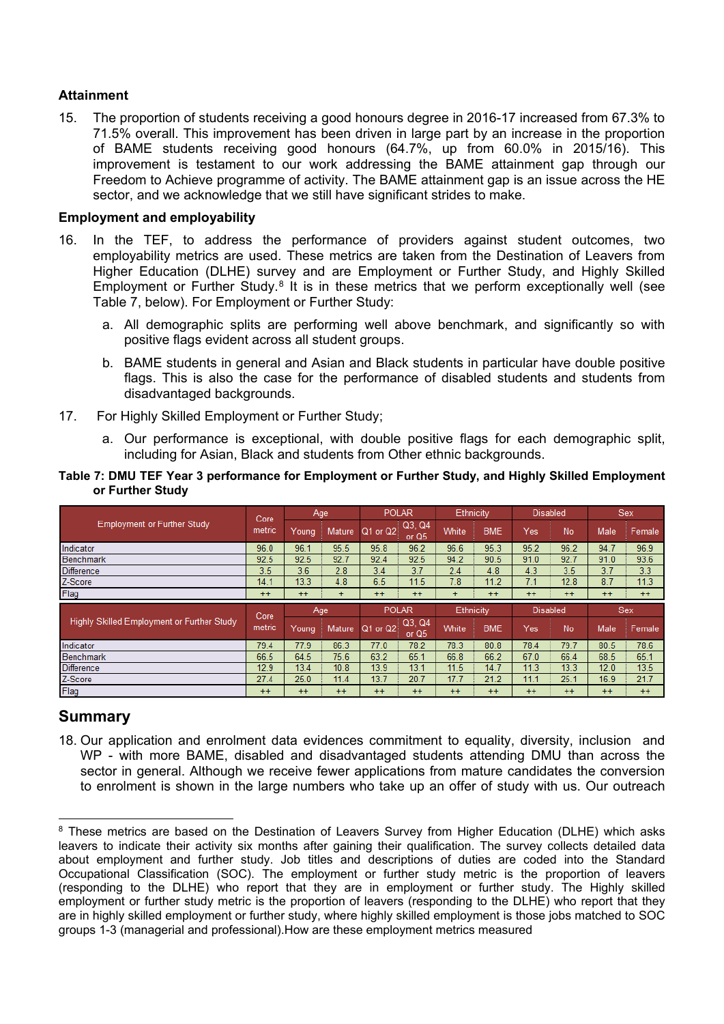## **Attainment**

15. The proportion of students receiving a good honours degree in 2016-17 increased from 67.3% to 71.5% overall. This improvement has been driven in large part by an increase in the proportion of BAME students receiving good honours (64.7%, up from 60.0% in 2015/16). This improvement is testament to our work addressing the BAME attainment gap through our Freedom to Achieve programme of activity. The BAME attainment gap is an issue across the HE sector, and we acknowledge that we still have significant strides to make.

## **Employment and employability**

- 16. In the TEF, to address the performance of providers against student outcomes, two employability metrics are used. These metrics are taken from the Destination of Leavers from Higher Education (DLHE) survey and are Employment or Further Study, and Highly Skilled Employment or Further Study.<sup>[8](#page-5-0)</sup> It is in these metrics that we perform exceptionally well (see Table 7, below). For Employment or Further Study:
	- a. All demographic splits are performing well above benchmark, and significantly so with positive flags evident across all student groups.
	- b. BAME students in general and Asian and Black students in particular have double positive flags. This is also the case for the performance of disabled students and students from disadvantaged backgrounds.
- 17. For Highly Skilled Employment or Further Study;
	- a. Our performance is exceptional, with double positive flags for each demographic split, including for Asian, Black and students from Other ethnic backgrounds.

#### **Table 7: DMU TEF Year 3 performance for Employment or Further Study, and Highly Skilled Employment or Further Study**

|                                            | Core           |              | Age       | <b>POLAR</b> |                   | Ethnicity |            | <b>Disabled</b> |      |      | <b>Sex</b> |
|--------------------------------------------|----------------|--------------|-----------|--------------|-------------------|-----------|------------|-----------------|------|------|------------|
| <b>Employment or Further Study</b>         | metric         | <b>Young</b> | Mature    | $Q1$ or $Q2$ | Q3, Q4<br>or $Q5$ | White     | <b>BME</b> | Yes             | No   | Male | Female     |
| Indicator                                  | 96.0           | 96.1         | 95.5      | 95.8         | 96.2              | 96.6      | 95.3       | 95.2            | 96.2 | 94.7 | 96.9       |
| <b>Benchmark</b>                           | 92.5           | 92.5         | 92.7      | 92.4         | 92.5              | 94.2      | 90.5       | 91.0            | 92.7 | 91.0 | 93.6       |
| <b>Difference</b>                          | 3.5            | 3.6          | 2.8       | 3.4          | 3.7               | 2.4       | 4.8        | 4.3             | 3.5  | 3.7  | 3.3        |
| Z-Score                                    | 14.1           | 13.3         | 4.8       | 6.5          | 11.5              | 7.8       | 11.2       | 7.1             | 12.8 | 8.7  | 11.3       |
| Flag                                       | $++$           | $++$         | $\ddot{}$ | $++$         | $++$              | $\ddot{}$ | $++$       | $++$            | $++$ | $++$ | $++$       |
|                                            |                |              |           |              |                   |           |            |                 |      |      |            |
|                                            |                |              | Age       | <b>POLAR</b> |                   | Ethnicity |            | <b>Disabled</b> |      |      | <b>Sex</b> |
| Highly Skilled Employment or Further Study | Core<br>metric | Young        | Mature    | Q1 or Q2     | Q3, Q4<br>or $Q5$ | White     | <b>BME</b> | Yes             | No   | Male | Female     |
| Indicator                                  | 79.4           | 77.9         | 86.3      | 77.0         | 78.2              | 78.3      | 80.8       | 78.4            | 79.7 | 80.5 | 78.6       |
| Benchmark                                  | 66.5           | 64.5         | 75.6      | 63.2         | 65.1              | 66.8      | 66.2       | 67.0            | 66.4 | 68.5 | 65.1       |
| <b>Difference</b>                          | 12.9           | 13.4         | 10.8      | 13.9         | 13.1              | 11.5      | 14.7       | 11.3            | 13.3 | 12.0 | 13.5       |
| Z-Score                                    | 27.4           | 25.0         | 11.4      | 13.7         | 20.7              | 17.7      | 21.2       | 11.1            | 25.1 | 16.9 | 21.7       |

# **Summary**

18. Our application and enrolment data evidences commitment to equality, diversity, inclusion and WP - with more BAME, disabled and disadvantaged students attending DMU than across the sector in general. Although we receive fewer applications from mature candidates the conversion to enrolment is shown in the large numbers who take up an offer of study with us. Our outreach

<span id="page-5-0"></span><sup>&</sup>lt;sup>8</sup> These metrics are based on the Destination of Leavers Survey from Higher Education (DLHE) which asks leavers to indicate their activity six months after gaining their qualification. The survey collects detailed data about employment and further study. Job titles and descriptions of duties are coded into the Standard Occupational Classification (SOC). The employment or further study metric is the proportion of leavers (responding to the DLHE) who report that they are in employment or further study. The Highly skilled employment or further study metric is the proportion of leavers (responding to the DLHE) who report that they are in highly skilled employment or further study, where highly skilled employment is those jobs matched to SOC groups 1-3 (managerial and professional).How are these employment metrics measured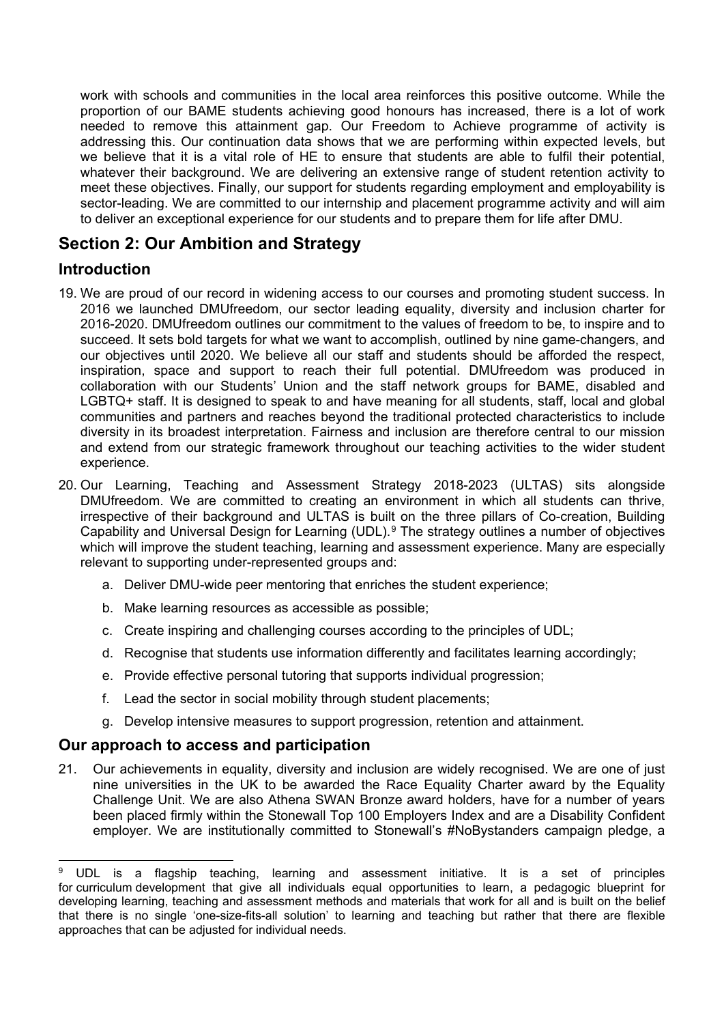work with schools and communities in the local area reinforces this positive outcome. While the proportion of our BAME students achieving good honours has increased, there is a lot of work needed to remove this attainment gap. Our Freedom to Achieve programme of activity is addressing this. Our continuation data shows that we are performing within expected levels, but we believe that it is a vital role of HE to ensure that students are able to fulfil their potential, whatever their background. We are delivering an extensive range of student retention activity to meet these objectives. Finally, our support for students regarding employment and employability is sector-leading. We are committed to our internship and placement programme activity and will aim to deliver an exceptional experience for our students and to prepare them for life after DMU.

# **Section 2: Our Ambition and Strategy**

# **Introduction**

- 19. We are proud of our record in widening access to our courses and promoting student success. In 2016 we launched DMUfreedom, our sector leading equality, diversity and inclusion charter for 2016-2020. DMUfreedom outlines our commitment to the values of freedom to be, to inspire and to succeed. It sets bold targets for what we want to accomplish, outlined by nine game-changers, and our objectives until 2020. We believe all our staff and students should be afforded the respect, inspiration, space and support to reach their full potential. DMUfreedom was produced in collaboration with our Students' Union and the staff network groups for BAME, disabled and LGBTQ+ staff. It is designed to speak to and have meaning for all students, staff, local and global communities and partners and reaches beyond the traditional protected characteristics to include diversity in its broadest interpretation. Fairness and inclusion are therefore central to our mission and extend from our strategic framework throughout our teaching activities to the wider student experience.
- 20. Our Learning, Teaching and Assessment Strategy 2018-2023 (ULTAS) sits alongside DMUfreedom. We are committed to creating an environment in which all students can thrive, irrespective of their background and ULTAS is built on the three pillars of Co-creation, Building Capability and Universal Design for Learning (UDL).[9](#page-6-0) The strategy outlines a number of objectives which will improve the student teaching, learning and assessment experience. Many are especially relevant to supporting under-represented groups and:
	- a. Deliver DMU-wide peer mentoring that enriches the student experience;
	- b. Make learning resources as accessible as possible;
	- c. Create inspiring and challenging courses according to the principles of UDL;
	- d. Recognise that students use information differently and facilitates learning accordingly;
	- e. Provide effective personal tutoring that supports individual progression;
	- f. Lead the sector in social mobility through student placements;
	- g. Develop intensive measures to support progression, retention and attainment.

# **Our approach to access and participation**

21. Our achievements in equality, diversity and inclusion are widely recognised. We are one of just nine universities in the UK to be awarded the Race Equality Charter award by the Equality Challenge Unit. We are also Athena SWAN Bronze award holders, have for a number of years been placed firmly within the Stonewall Top 100 Employers Index and are a Disability Confident employer. We are institutionally committed to Stonewall's #NoBystanders campaign pledge, a

<span id="page-6-0"></span> <sup>9</sup> UDL is a flagship teaching, learning and assessment initiative. It is a set of principles for curriculum development that give all individuals equal opportunities to learn, a pedagogic blueprint for developing learning, teaching and assessment methods and materials that work for all and is built on the belief that there is no single 'one-size-fits-all solution' to learning and teaching but rather that there are flexible approaches that can be adjusted for individual needs.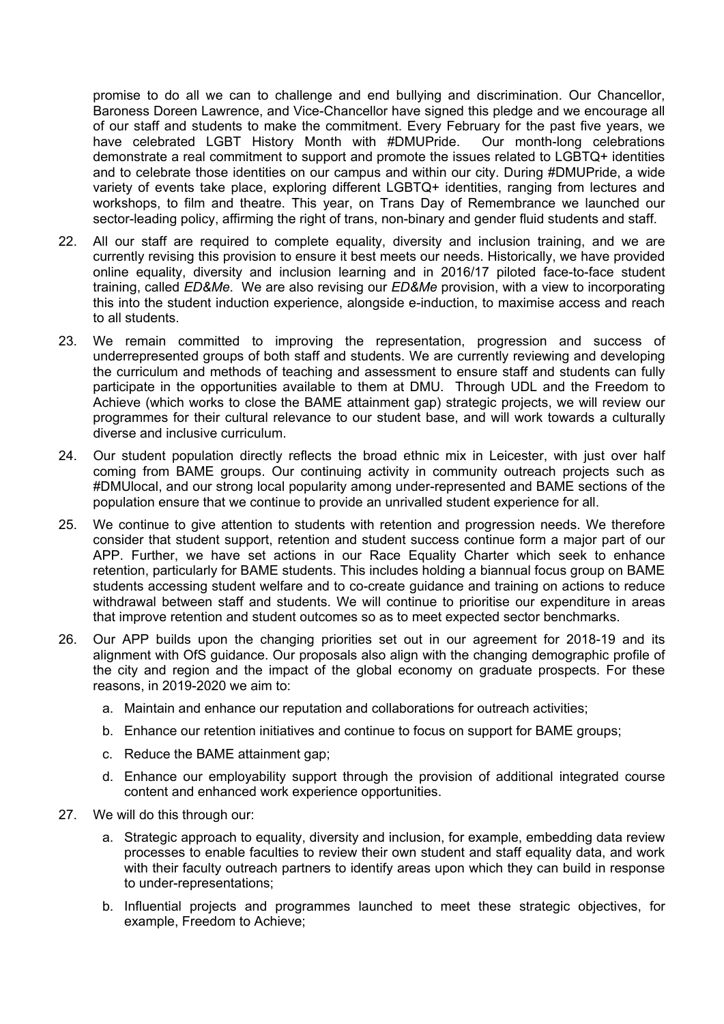promise to do all we can to challenge and end bullying and discrimination. Our Chancellor, Baroness Doreen Lawrence, and Vice-Chancellor have signed this pledge and we encourage all of our staff and students to make the commitment. Every February for the past five years, we<br>have celebrated LGBT History Month with #DMUPride. Our month-long celebrations have celebrated LGBT History Month with #DMUPride. demonstrate a real commitment to support and promote the issues related to LGBTQ+ identities and to celebrate those identities on our campus and within our city. During #DMUPride, a wide variety of events take place, exploring different LGBTQ+ identities, ranging from lectures and workshops, to film and theatre. This year, on Trans Day of Remembrance we launched our sector-leading policy, affirming the right of trans, non-binary and gender fluid students and staff.

- 22. All our staff are required to complete equality, diversity and inclusion training, and we are currently revising this provision to ensure it best meets our needs. Historically, we have provided online equality, diversity and inclusion learning and in 2016/17 piloted face-to-face student training, called *ED&Me*. We are also revising our *ED&Me* provision, with a view to incorporating this into the student induction experience, alongside e-induction, to maximise access and reach to all students.
- 23. We remain committed to improving the representation, progression and success of underrepresented groups of both staff and students. We are currently reviewing and developing the curriculum and methods of teaching and assessment to ensure staff and students can fully participate in the opportunities available to them at DMU. Through UDL and the Freedom to Achieve (which works to close the BAME attainment gap) strategic projects, we will review our programmes for their cultural relevance to our student base, and will work towards a culturally diverse and inclusive curriculum.
- 24. Our student population directly reflects the broad ethnic mix in Leicester, with just over half coming from BAME groups. Our continuing activity in community outreach projects such as #DMUlocal, and our strong local popularity among under-represented and BAME sections of the population ensure that we continue to provide an unrivalled student experience for all.
- 25. We continue to give attention to students with retention and progression needs. We therefore consider that student support, retention and student success continue form a major part of our APP. Further, we have set actions in our Race Equality Charter which seek to enhance retention, particularly for BAME students. This includes holding a biannual focus group on BAME students accessing student welfare and to co-create guidance and training on actions to reduce withdrawal between staff and students. We will continue to prioritise our expenditure in areas that improve retention and student outcomes so as to meet expected sector benchmarks.
- 26. Our APP builds upon the changing priorities set out in our agreement for 2018-19 and its alignment with OfS guidance. Our proposals also align with the changing demographic profile of the city and region and the impact of the global economy on graduate prospects. For these reasons, in 2019-2020 we aim to:
	- a. Maintain and enhance our reputation and collaborations for outreach activities;
	- b. Enhance our retention initiatives and continue to focus on support for BAME groups;
	- c. Reduce the BAME attainment gap;
	- d. Enhance our employability support through the provision of additional integrated course content and enhanced work experience opportunities.
- 27. We will do this through our:
	- a. Strategic approach to equality, diversity and inclusion, for example, embedding data review processes to enable faculties to review their own student and staff equality data, and work with their faculty outreach partners to identify areas upon which they can build in response to under-representations;
	- b. Influential projects and programmes launched to meet these strategic objectives, for example, Freedom to Achieve;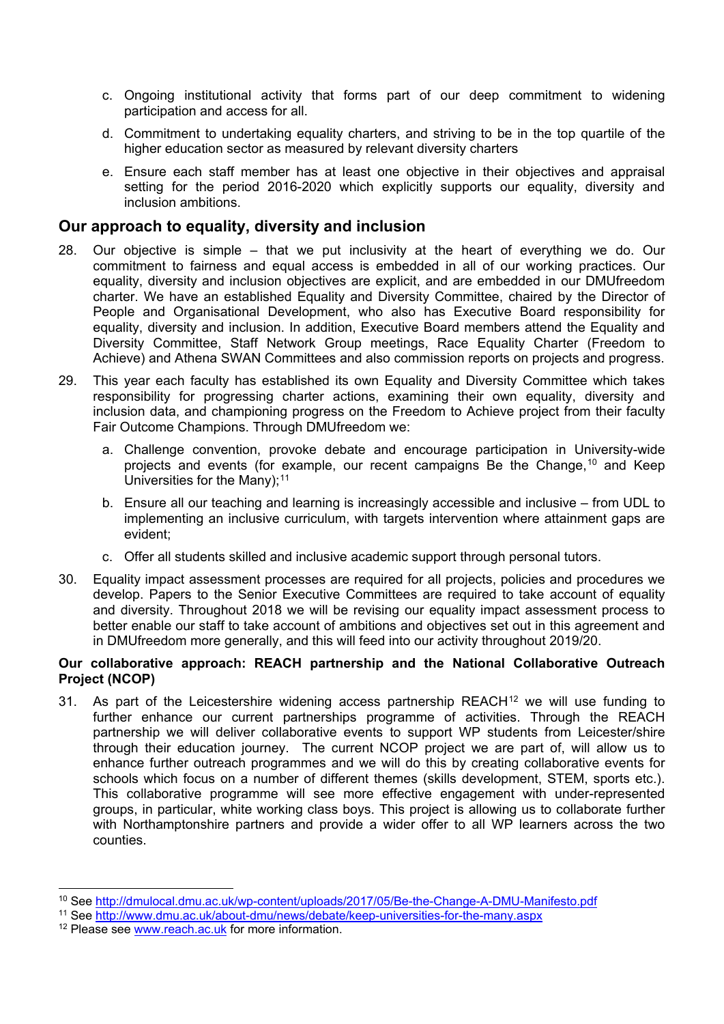- c. Ongoing institutional activity that forms part of our deep commitment to widening participation and access for all.
- d. Commitment to undertaking equality charters, and striving to be in the top quartile of the higher education sector as measured by relevant diversity charters
- e. Ensure each staff member has at least one objective in their objectives and appraisal setting for the period 2016-2020 which explicitly supports our equality, diversity and inclusion ambitions.

## **Our approach to equality, diversity and inclusion**

- 28. Our objective is simple that we put inclusivity at the heart of everything we do. Our commitment to fairness and equal access is embedded in all of our working practices. Our equality, diversity and inclusion objectives are explicit, and are embedded in our DMUfreedom charter. We have an established Equality and Diversity Committee, chaired by the Director of People and Organisational Development, who also has Executive Board responsibility for equality, diversity and inclusion. In addition, Executive Board members attend the Equality and Diversity Committee, Staff Network Group meetings, Race Equality Charter (Freedom to Achieve) and Athena SWAN Committees and also commission reports on projects and progress.
- 29. This year each faculty has established its own Equality and Diversity Committee which takes responsibility for progressing charter actions, examining their own equality, diversity and inclusion data, and championing progress on the Freedom to Achieve project from their faculty Fair Outcome Champions. Through DMUfreedom we:
	- a. Challenge convention, provoke debate and encourage participation in University-wide projects and events (for example, our recent campaigns Be the Change,[10](#page-8-0) and Keep Universities for the Many); $11$
	- b. Ensure all our teaching and learning is increasingly accessible and inclusive from UDL to implementing an inclusive curriculum, with targets intervention where attainment gaps are evident;
	- c. Offer all students skilled and inclusive academic support through personal tutors.
- 30. Equality impact assessment processes are required for all projects, policies and procedures we develop. Papers to the Senior Executive Committees are required to take account of equality and diversity. Throughout 2018 we will be revising our equality impact assessment process to better enable our staff to take account of ambitions and objectives set out in this agreement and in DMUfreedom more generally, and this will feed into our activity throughout 2019/20.

#### **Our collaborative approach: REACH partnership and the National Collaborative Outreach Project (NCOP)**

31. As part of the Leicestershire widening access partnership REACH<sup>[12](#page-8-2)</sup> we will use funding to further enhance our current partnerships programme of activities. Through the REACH partnership we will deliver collaborative events to support WP students from Leicester/shire through their education journey. The current NCOP project we are part of, will allow us to enhance further outreach programmes and we will do this by creating collaborative events for schools which focus on a number of different themes (skills development, STEM, sports etc.). This collaborative programme will see more effective engagement with under-represented groups, in particular, white working class boys. This project is allowing us to collaborate further with Northamptonshire partners and provide a wider offer to all WP learners across the two counties.

<span id="page-8-0"></span> <sup>10</sup> See<http://dmulocal.dmu.ac.uk/wp-content/uploads/2017/05/Be-the-Change-A-DMU-Manifesto.pdf>

<span id="page-8-1"></span><sup>11</sup> See<http://www.dmu.ac.uk/about-dmu/news/debate/keep-universities-for-the-many.aspx>

<span id="page-8-2"></span><sup>&</sup>lt;sup>12</sup> Please see [www.reach.ac.uk](http://www.reach.ac.uk/) for more information.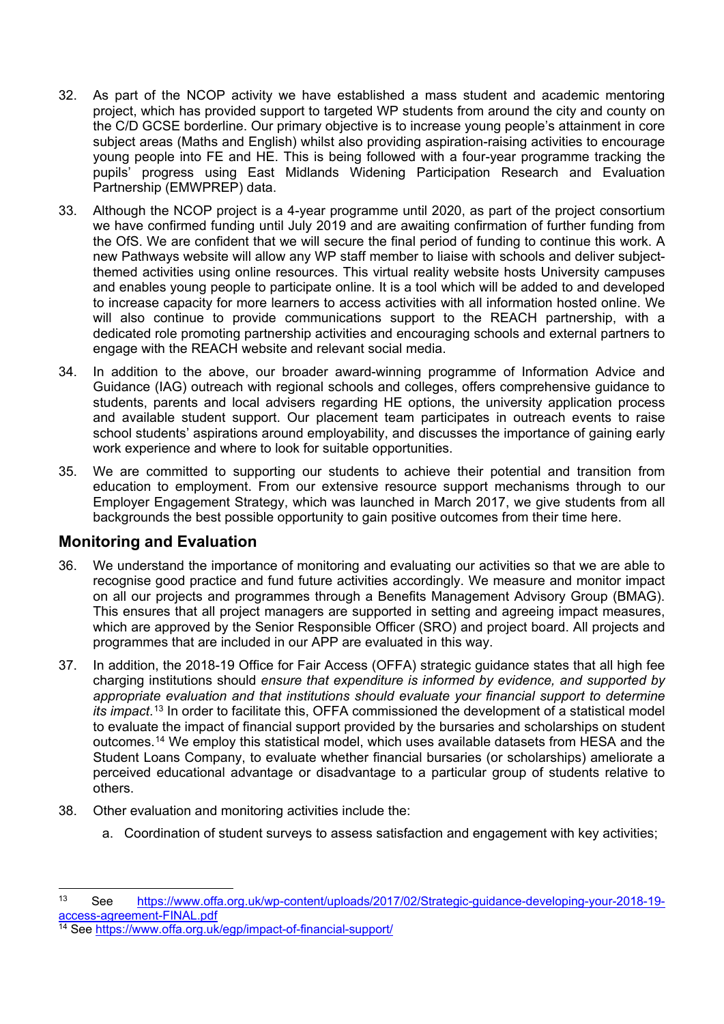- 32. As part of the NCOP activity we have established a mass student and academic mentoring project, which has provided support to targeted WP students from around the city and county on the C/D GCSE borderline. Our primary objective is to increase young people's attainment in core subject areas (Maths and English) whilst also providing aspiration-raising activities to encourage young people into FE and HE. This is being followed with a four-year programme tracking the pupils' progress using East Midlands Widening Participation Research and Evaluation Partnership (EMWPREP) data.
- 33. Although the NCOP project is a 4-year programme until 2020, as part of the project consortium we have confirmed funding until July 2019 and are awaiting confirmation of further funding from the OfS. We are confident that we will secure the final period of funding to continue this work. A new Pathways website will allow any WP staff member to liaise with schools and deliver subjectthemed activities using online resources. This virtual reality website hosts University campuses and enables young people to participate online. It is a tool which will be added to and developed to increase capacity for more learners to access activities with all information hosted online. We will also continue to provide communications support to the REACH partnership, with a dedicated role promoting partnership activities and encouraging schools and external partners to engage with the REACH website and relevant social media.
- 34. In addition to the above, our broader award-winning programme of Information Advice and Guidance (IAG) outreach with regional schools and colleges, offers comprehensive guidance to students, parents and local advisers regarding HE options, the university application process and available student support. Our placement team participates in outreach events to raise school students' aspirations around employability, and discusses the importance of gaining early work experience and where to look for suitable opportunities.
- 35. We are committed to supporting our students to achieve their potential and transition from education to employment. From our extensive resource support mechanisms through to our Employer Engagement Strategy, which was launched in March 2017, we give students from all backgrounds the best possible opportunity to gain positive outcomes from their time here.

# **Monitoring and Evaluation**

- 36. We understand the importance of monitoring and evaluating our activities so that we are able to recognise good practice and fund future activities accordingly. We measure and monitor impact on all our projects and programmes through a Benefits Management Advisory Group (BMAG). This ensures that all project managers are supported in setting and agreeing impact measures, which are approved by the Senior Responsible Officer (SRO) and project board. All projects and programmes that are included in our APP are evaluated in this way.
- 37. In addition, the 2018-19 Office for Fair Access (OFFA) strategic guidance states that all high fee charging institutions should *ensure that expenditure is informed by evidence, and supported by appropriate evaluation and that institutions should evaluate your financial support to determine its impact*.[13](#page-9-0) In order to facilitate this, OFFA commissioned the development of a statistical model to evaluate the impact of financial support provided by the bursaries and scholarships on student outcomes.[14](#page-9-1) We employ this statistical model, which uses available datasets from HESA and the Student Loans Company, to evaluate whether financial bursaries (or scholarships) ameliorate a perceived educational advantage or disadvantage to a particular group of students relative to others.
- 38. Other evaluation and monitoring activities include the:
	- a. Coordination of student surveys to assess satisfaction and engagement with key activities;

<span id="page-9-0"></span> <sup>13</sup> See [https://www.offa.org.uk/wp-content/uploads/2017/02/Strategic-guidance-developing-your-2018-19](https://www.offa.org.uk/wp-content/uploads/2017/02/Strategic-guidance-developing-your-2018-19-access-agreement-FINAL.pdf) [access-agreement-FINAL.pdf](https://www.offa.org.uk/wp-content/uploads/2017/02/Strategic-guidance-developing-your-2018-19-access-agreement-FINAL.pdf)

<span id="page-9-1"></span><sup>14</sup> See<https://www.offa.org.uk/egp/impact-of-financial-support/>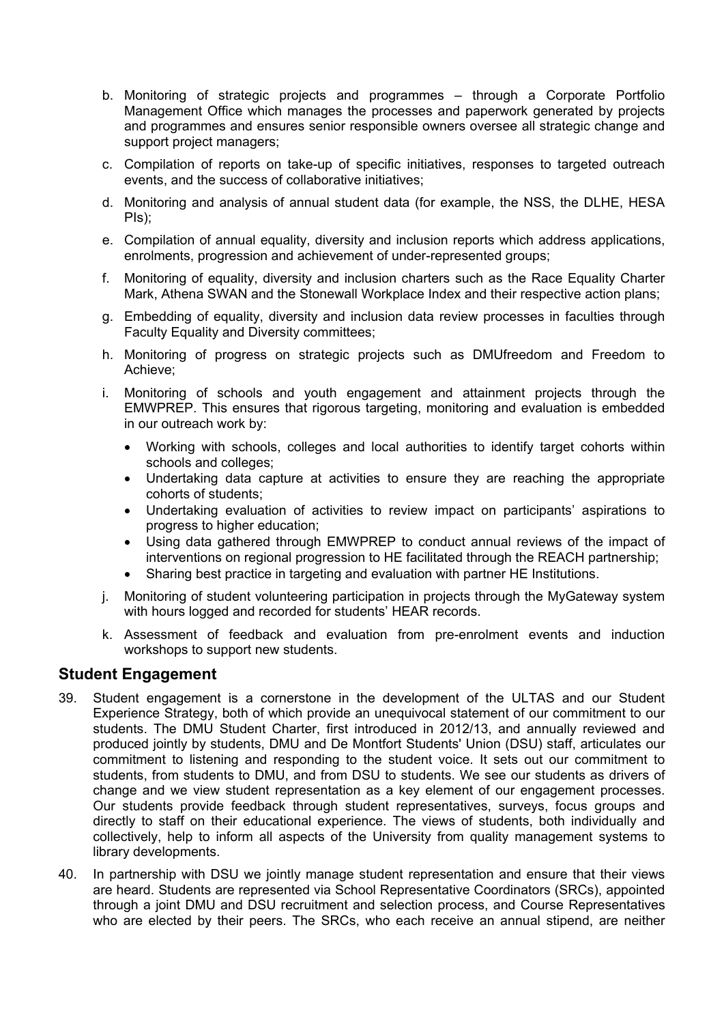- b. Monitoring of strategic projects and programmes through a Corporate Portfolio Management Office which manages the processes and paperwork generated by projects and programmes and ensures senior responsible owners oversee all strategic change and support project managers;
- c. Compilation of reports on take-up of specific initiatives, responses to targeted outreach events, and the success of collaborative initiatives;
- d. Monitoring and analysis of annual student data (for example, the NSS, the DLHE, HESA PIs);
- e. Compilation of annual equality, diversity and inclusion reports which address applications, enrolments, progression and achievement of under-represented groups;
- f. Monitoring of equality, diversity and inclusion charters such as the Race Equality Charter Mark, Athena SWAN and the Stonewall Workplace Index and their respective action plans;
- g. Embedding of equality, diversity and inclusion data review processes in faculties through Faculty Equality and Diversity committees;
- h. Monitoring of progress on strategic projects such as DMUfreedom and Freedom to Achieve;
- i. Monitoring of schools and youth engagement and attainment projects through the EMWPREP. This ensures that rigorous targeting, monitoring and evaluation is embedded in our outreach work by:
	- Working with schools, colleges and local authorities to identify target cohorts within schools and colleges;
	- Undertaking data capture at activities to ensure they are reaching the appropriate cohorts of students;
	- Undertaking evaluation of activities to review impact on participants' aspirations to progress to higher education;
	- Using data gathered through EMWPREP to conduct annual reviews of the impact of interventions on regional progression to HE facilitated through the REACH partnership;
	- Sharing best practice in targeting and evaluation with partner HE Institutions.
- j. Monitoring of student volunteering participation in projects through the MyGateway system with hours logged and recorded for students' HEAR records.
- k. Assessment of feedback and evaluation from pre-enrolment events and induction workshops to support new students.

## **Student Engagement**

- 39. Student engagement is a cornerstone in the development of the ULTAS and our Student Experience Strategy, both of which provide an unequivocal statement of our commitment to our students. The DMU Student Charter, first introduced in 2012/13, and annually reviewed and produced jointly by students, DMU and De Montfort Students' Union (DSU) staff, articulates our commitment to listening and responding to the student voice. It sets out our commitment to students, from students to DMU, and from DSU to students. We see our students as drivers of change and we view student representation as a key element of our engagement processes. Our students provide feedback through student representatives, surveys, focus groups and directly to staff on their educational experience. The views of students, both individually and collectively, help to inform all aspects of the University from quality management systems to library developments.
- 40. In partnership with DSU we jointly manage student representation and ensure that their views are heard. Students are represented via School Representative Coordinators (SRCs), appointed through a joint DMU and DSU recruitment and selection process, and Course Representatives who are elected by their peers. The SRCs, who each receive an annual stipend, are neither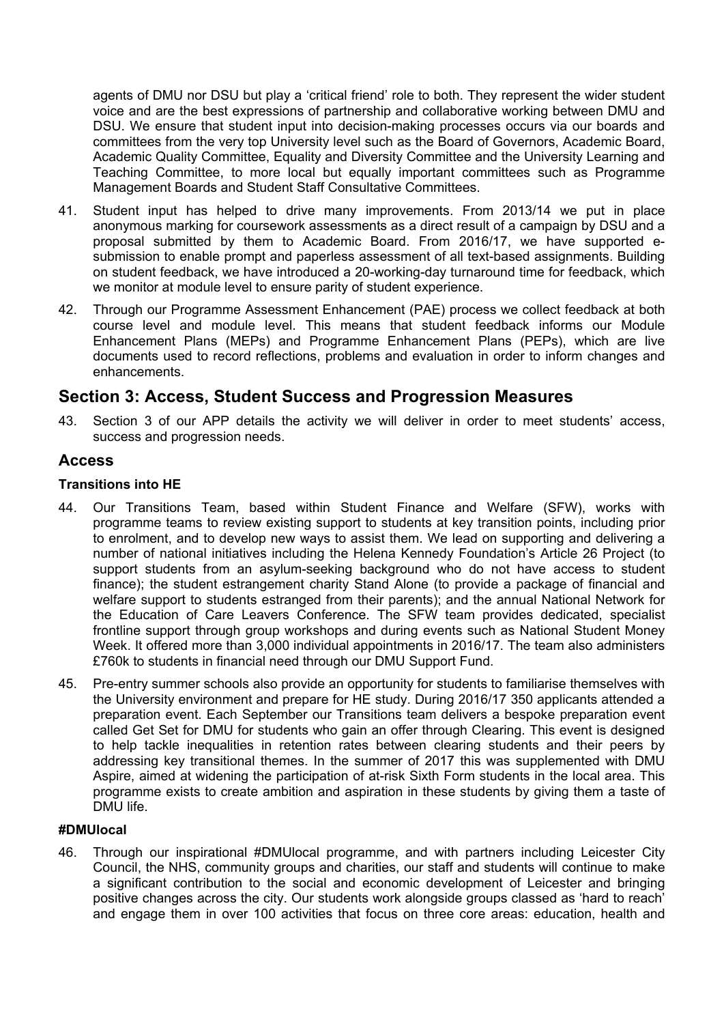agents of DMU nor DSU but play a 'critical friend' role to both. They represent the wider student voice and are the best expressions of partnership and collaborative working between DMU and DSU. We ensure that student input into decision-making processes occurs via our boards and committees from the very top University level such as the Board of Governors, Academic Board, Academic Quality Committee, Equality and Diversity Committee and the University Learning and Teaching Committee, to more local but equally important committees such as Programme Management Boards and Student Staff Consultative Committees.

- 41. Student input has helped to drive many improvements. From 2013/14 we put in place anonymous marking for coursework assessments as a direct result of a campaign by DSU and a proposal submitted by them to Academic Board. From 2016/17, we have supported esubmission to enable prompt and paperless assessment of all text-based assignments. Building on student feedback, we have introduced a 20-working-day turnaround time for feedback, which we monitor at module level to ensure parity of student experience.
- 42. Through our Programme Assessment Enhancement (PAE) process we collect feedback at both course level and module level. This means that student feedback informs our Module Enhancement Plans (MEPs) and Programme Enhancement Plans (PEPs), which are live documents used to record reflections, problems and evaluation in order to inform changes and enhancements.

# **Section 3: Access, Student Success and Progression Measures**

43. Section 3 of our APP details the activity we will deliver in order to meet students' access, success and progression needs.

## **Access**

## **Transitions into HE**

- 44. Our Transitions Team, based within Student Finance and Welfare (SFW), works with programme teams to review existing support to students at key transition points, including prior to enrolment, and to develop new ways to assist them. We lead on supporting and delivering a number of national initiatives including the Helena Kennedy Foundation's Article 26 Project (to support students from an asylum-seeking background who do not have access to student finance); the student estrangement charity Stand Alone (to provide a package of financial and welfare support to students estranged from their parents); and the annual National Network for the Education of Care Leavers Conference. The SFW team provides dedicated, specialist frontline support through group workshops and during events such as National Student Money Week. It offered more than 3,000 individual appointments in 2016/17. The team also administers £760k to students in financial need through our DMU Support Fund.
- 45. Pre-entry summer schools also provide an opportunity for students to familiarise themselves with the University environment and prepare for HE study. During 2016/17 350 applicants attended a preparation event. Each September our Transitions team delivers a bespoke preparation event called Get Set for DMU for students who gain an offer through Clearing. This event is designed to help tackle inequalities in retention rates between clearing students and their peers by addressing key transitional themes. In the summer of 2017 this was supplemented with DMU Aspire, aimed at widening the participation of at-risk Sixth Form students in the local area. This programme exists to create ambition and aspiration in these students by giving them a taste of DMU life.

## **#DMUlocal**

46. Through our inspirational #DMUlocal programme, and with partners including Leicester City Council, the NHS, community groups and charities, our staff and students will continue to make a significant contribution to the social and economic development of Leicester and bringing positive changes across the city. Our students work alongside groups classed as 'hard to reach' and engage them in over 100 activities that focus on three core areas: education, health and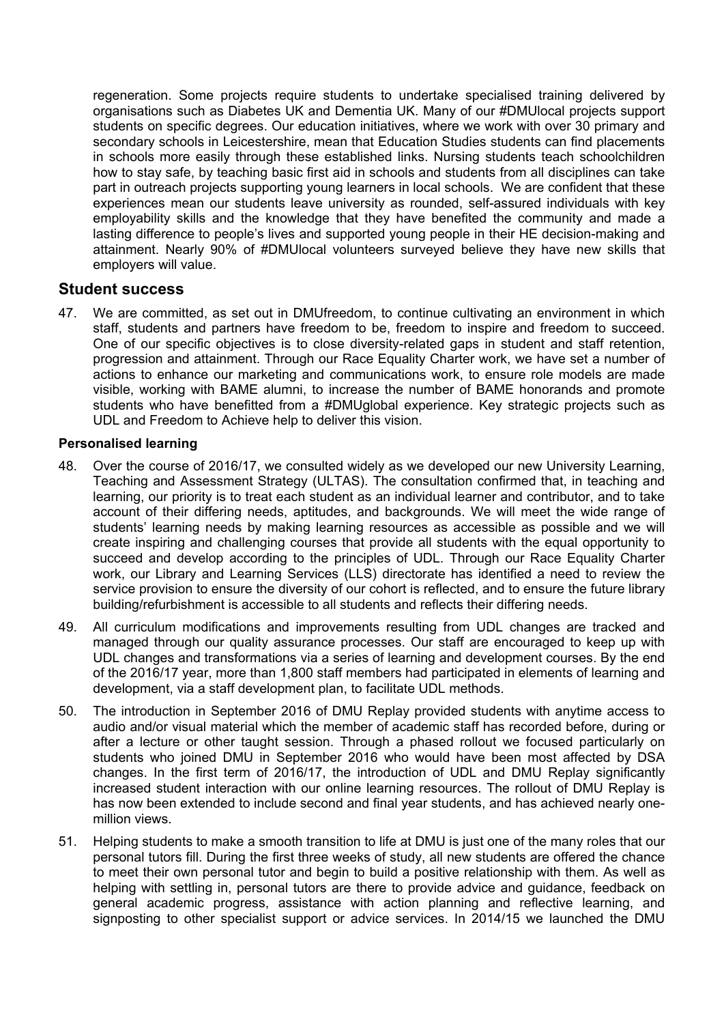regeneration. Some projects require students to undertake specialised training delivered by organisations such as Diabetes UK and Dementia UK. Many of our #DMUlocal projects support students on specific degrees. Our education initiatives, where we work with over 30 primary and secondary schools in Leicestershire, mean that Education Studies students can find placements in schools more easily through these established links. Nursing students teach schoolchildren how to stay safe, by teaching basic first aid in schools and students from all disciplines can take part in outreach projects supporting young learners in local schools. We are confident that these experiences mean our students leave university as rounded, self-assured individuals with key employability skills and the knowledge that they have benefited the community and made a lasting difference to people's lives and supported young people in their HE decision-making and attainment. Nearly 90% of #DMUlocal volunteers surveyed believe they have new skills that employers will value.

## **Student success**

47. We are committed, as set out in DMUfreedom, to continue cultivating an environment in which staff, students and partners have freedom to be, freedom to inspire and freedom to succeed. One of our specific objectives is to close diversity-related gaps in student and staff retention, progression and attainment. Through our Race Equality Charter work, we have set a number of actions to enhance our marketing and communications work, to ensure role models are made visible, working with BAME alumni, to increase the number of BAME honorands and promote students who have benefitted from a #DMUglobal experience. Key strategic projects such as UDL and Freedom to Achieve help to deliver this vision.

## **Personalised learning**

- 48. Over the course of 2016/17, we consulted widely as we developed our new University Learning, Teaching and Assessment Strategy (ULTAS). The consultation confirmed that, in teaching and learning, our priority is to treat each student as an individual learner and contributor, and to take account of their differing needs, aptitudes, and backgrounds. We will meet the wide range of students' learning needs by making learning resources as accessible as possible and we will create inspiring and challenging courses that provide all students with the equal opportunity to succeed and develop according to the principles of UDL. Through our Race Equality Charter work, our Library and Learning Services (LLS) directorate has identified a need to review the service provision to ensure the diversity of our cohort is reflected, and to ensure the future library building/refurbishment is accessible to all students and reflects their differing needs.
- 49. All curriculum modifications and improvements resulting from UDL changes are tracked and managed through our quality assurance processes. Our staff are encouraged to keep up with UDL changes and transformations via a series of learning and development courses. By the end of the 2016/17 year, more than 1,800 staff members had participated in elements of learning and development, via a staff development plan, to facilitate UDL methods.
- 50. The introduction in September 2016 of DMU Replay provided students with anytime access to audio and/or visual material which the member of academic staff has recorded before, during or after a lecture or other taught session. Through a phased rollout we focused particularly on students who joined DMU in September 2016 who would have been most affected by DSA changes. In the first term of 2016/17, the introduction of UDL and DMU Replay significantly increased student interaction with our online learning resources. The rollout of DMU Replay is has now been extended to include second and final year students, and has achieved nearly onemillion views.
- 51. Helping students to make a smooth transition to life at DMU is just one of the many roles that our personal tutors fill. During the first three weeks of study, all new students are offered the chance to meet their own personal tutor and begin to build a positive relationship with them. As well as helping with settling in, personal tutors are there to provide advice and guidance, feedback on general academic progress, assistance with action planning and reflective learning, and signposting to other specialist support or advice services. In 2014/15 we launched the DMU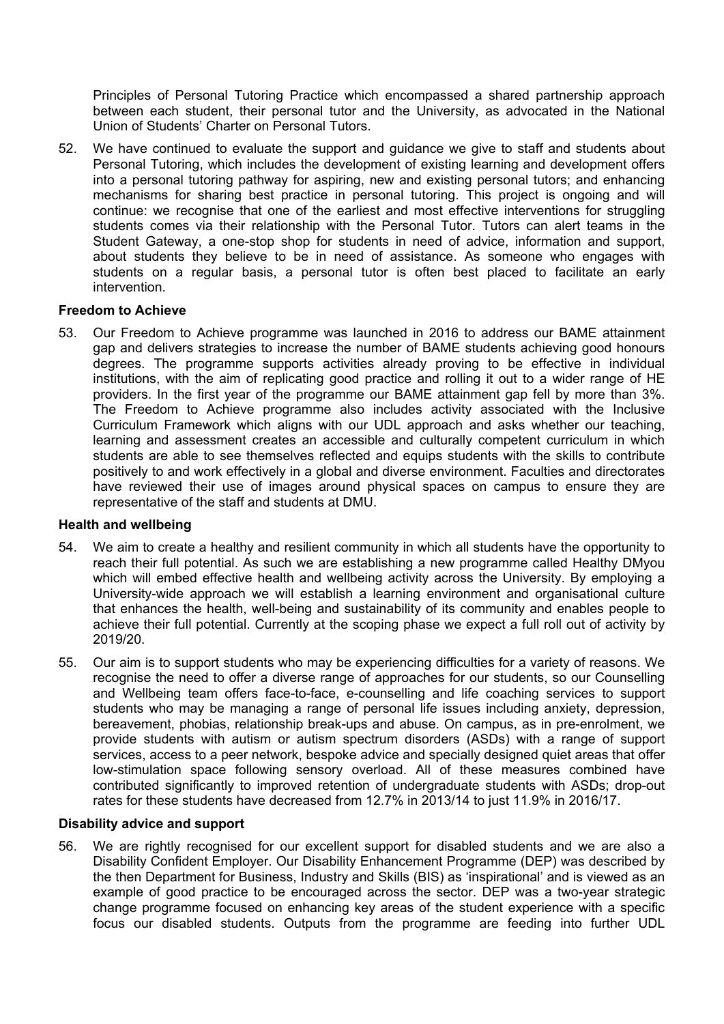Principles of Personal Tutoring Practice which encompassed a shared partnership approach between each student, their personal tutor and the University, as advocated in the National Union of Students' Charter on Personal Tutors.

52. We have continued to evaluate the support and guidance we give to staff and students about Personal Tutoring, which includes the development of existing learning and development offers into a personal tutoring pathway for aspiring, new and existing personal tutors; and enhancing mechanisms for sharing best practice in personal tutoring. This project is ongoing and will continue: we recognise that one of the earliest and most effective interventions for struggling students comes via their relationship with the Personal Tutor. Tutors can alert teams in the Student Gateway, a one-stop shop for students in need of advice, information and support, about students they believe to be in need of assistance. As someone who engages with students on a regular basis, a personal tutor is often best placed to facilitate an early intervention.

## **Freedom to Achieve**

53. Our Freedom to Achieve programme was launched in 2016 to address our BAME attainment gap and delivers strategies to increase the number of BAME students achieving good honours degrees. The programme supports activities already proving to be effective in individual institutions, with the aim of replicating good practice and rolling it out to a wider range of HE providers. In the first year of the programme our BAME attainment gap fell by more than 3%. The Freedom to Achieve programme also includes activity associated with the Inclusive Curriculum Framework which aligns with our UDL approach and asks whether our teaching, learning and assessment creates an accessible and culturally competent curriculum in which students are able to see themselves reflected and equips students with the skills to contribute positively to and work effectively in a global and diverse environment. Faculties and directorates have reviewed their use of images around physical spaces on campus to ensure they are representative of the staff and students at DMU.

#### **Health and wellbeing**

- 54. We aim to create a healthy and resilient community in which all students have the opportunity to reach their full potential. As such we are establishing a new programme called Healthy DMyou which will embed effective health and wellbeing activity across the University. By employing a University-wide approach we will establish a learning environment and organisational culture that enhances the health, well-being and sustainability of its community and enables people to achieve their full potential. Currently at the scoping phase we expect a full roll out of activity by 2019/20.
- 55. Our aim is to support students who may be experiencing difficulties for a variety of reasons. We recognise the need to offer a diverse range of approaches for our students, so our Counselling and Wellbeing team offers face-to-face, e-counselling and life coaching services to support students who may be managing a range of personal life issues including anxiety, depression, bereavement, phobias, relationship break-ups and abuse. On campus, as in pre-enrolment, we provide students with autism or autism spectrum disorders (ASDs) with a range of support services, access to a peer network, bespoke advice and specially designed quiet areas that offer low-stimulation space following sensory overload. All of these measures combined have contributed significantly to improved retention of undergraduate students with ASDs; drop-out rates for these students have decreased from 12.7% in 2013/14 to just 11.9% in 2016/17.

#### **Disability advice and support**

56. We are rightly recognised for our excellent support for disabled students and we are also a Disability Confident Employer. Our Disability Enhancement Programme (DEP) was described by the then Department for Business, Industry and Skills (BIS) as 'inspirational' and is viewed as an example of good practice to be encouraged across the sector. DEP was a two-year strategic change programme focused on enhancing key areas of the student experience with a specific focus our disabled students. Outputs from the programme are feeding into further UDL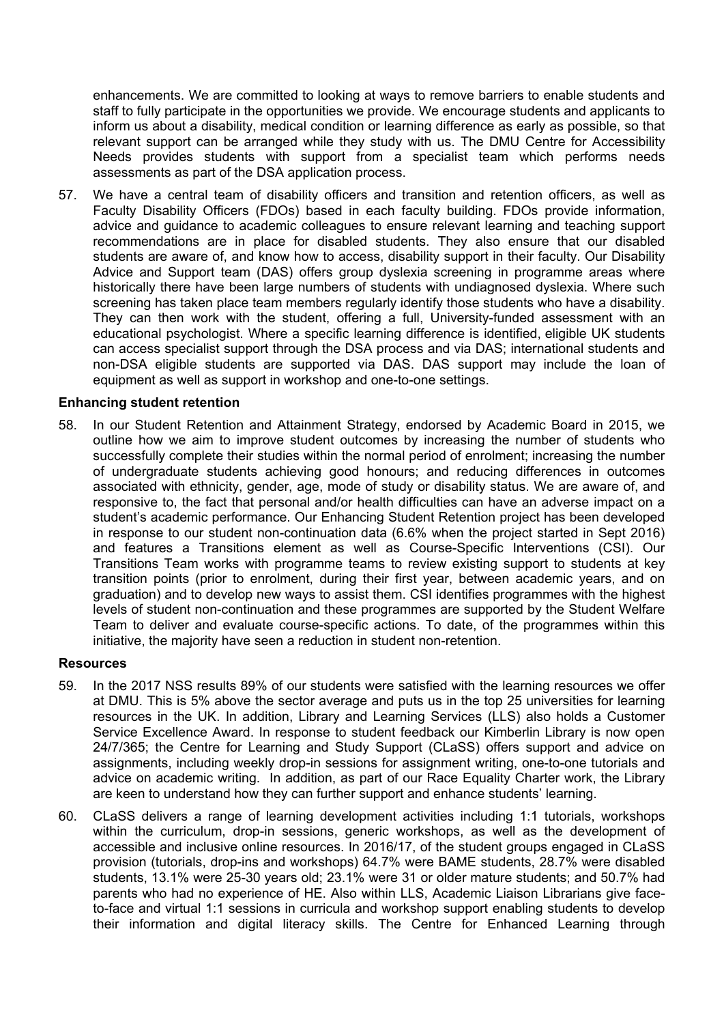enhancements. We are committed to looking at ways to remove barriers to enable students and staff to fully participate in the opportunities we provide. We encourage students and applicants to inform us about a disability, medical condition or learning difference as early as possible, so that relevant support can be arranged while they study with us. The DMU Centre for Accessibility Needs provides students with support from a specialist team which performs needs assessments as part of the DSA application process.

57. We have a central team of disability officers and transition and retention officers, as well as Faculty Disability Officers (FDOs) based in each faculty building. FDOs provide information, advice and guidance to academic colleagues to ensure relevant learning and teaching support recommendations are in place for disabled students. They also ensure that our disabled students are aware of, and know how to access, disability support in their faculty. Our Disability Advice and Support team (DAS) offers group dyslexia screening in programme areas where historically there have been large numbers of students with undiagnosed dyslexia. Where such screening has taken place team members regularly identify those students who have a disability. They can then work with the student, offering a full, University-funded assessment with an educational psychologist. Where a specific learning difference is identified, eligible UK students can access specialist support through the DSA process and via DAS; international students and non-DSA eligible students are supported via DAS. DAS support may include the loan of equipment as well as support in workshop and one-to-one settings.

#### **Enhancing student retention**

58. In our Student Retention and Attainment Strategy, endorsed by Academic Board in 2015, we outline how we aim to improve student outcomes by increasing the number of students who successfully complete their studies within the normal period of enrolment; increasing the number of undergraduate students achieving good honours; and reducing differences in outcomes associated with ethnicity, gender, age, mode of study or disability status. We are aware of, and responsive to, the fact that personal and/or health difficulties can have an adverse impact on a student's academic performance. Our Enhancing Student Retention project has been developed in response to our student non-continuation data (6.6% when the project started in Sept 2016) and features a Transitions element as well as Course-Specific Interventions (CSI). Our Transitions Team works with programme teams to review existing support to students at key transition points (prior to enrolment, during their first year, between academic years, and on graduation) and to develop new ways to assist them. CSI identifies programmes with the highest levels of student non-continuation and these programmes are supported by the Student Welfare Team to deliver and evaluate course-specific actions. To date, of the programmes within this initiative, the majority have seen a reduction in student non-retention.

#### **Resources**

- 59. In the 2017 NSS results 89% of our students were satisfied with the learning resources we offer at DMU. This is 5% above the sector average and puts us in the top 25 universities for learning resources in the UK. In addition, Library and Learning Services (LLS) also holds a Customer Service Excellence Award. In response to student feedback our Kimberlin Library is now open 24/7/365; the Centre for Learning and Study Support (CLaSS) offers support and advice on assignments, including weekly drop-in sessions for assignment writing, one-to-one tutorials and advice on academic writing. In addition, as part of our Race Equality Charter work, the Library are keen to understand how they can further support and enhance students' learning.
- 60. CLaSS delivers a range of learning development activities including 1:1 tutorials, workshops within the curriculum, drop-in sessions, generic workshops, as well as the development of accessible and inclusive online resources. In 2016/17, of the student groups engaged in CLaSS provision (tutorials, drop-ins and workshops) 64.7% were BAME students, 28.7% were disabled students, 13.1% were 25-30 years old; 23.1% were 31 or older mature students; and 50.7% had parents who had no experience of HE. Also within LLS, Academic Liaison Librarians give faceto-face and virtual 1:1 sessions in curricula and workshop support enabling students to develop their information and digital literacy skills. The Centre for Enhanced Learning through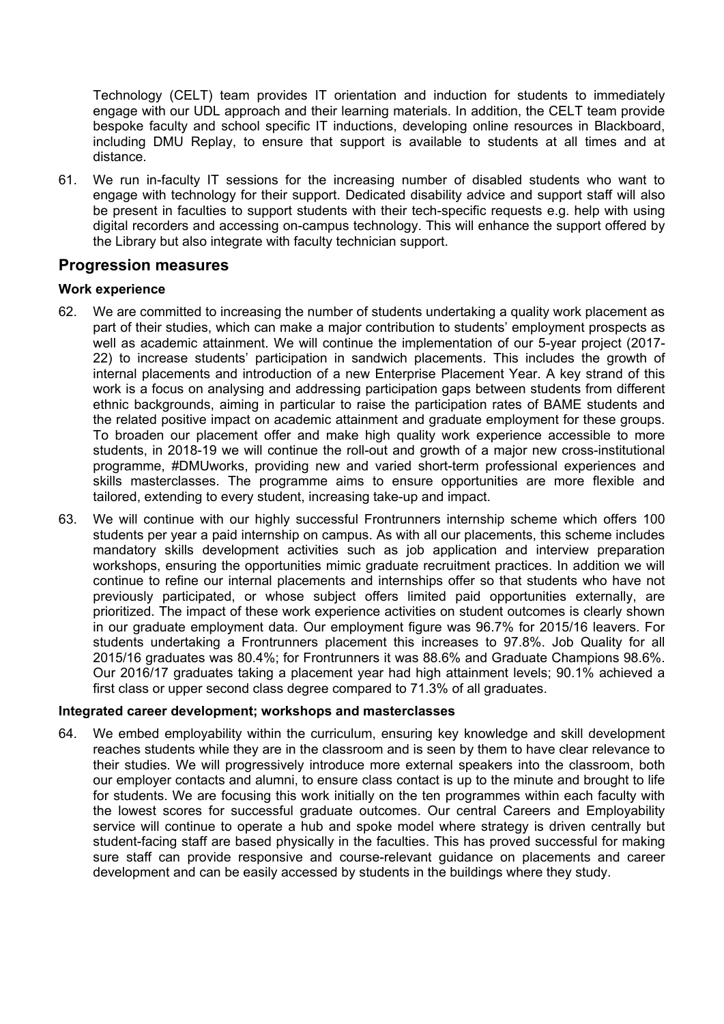Technology (CELT) team provides IT orientation and induction for students to immediately engage with our UDL approach and their learning materials. In addition, the CELT team provide bespoke faculty and school specific IT inductions, developing online resources in Blackboard, including DMU Replay, to ensure that support is available to students at all times and at distance.

61. We run in-faculty IT sessions for the increasing number of disabled students who want to engage with technology for their support. Dedicated disability advice and support staff will also be present in faculties to support students with their tech-specific requests e.g. help with using digital recorders and accessing on-campus technology. This will enhance the support offered by the Library but also integrate with faculty technician support.

## **Progression measures**

#### **Work experience**

- 62. We are committed to increasing the number of students undertaking a quality work placement as part of their studies, which can make a major contribution to students' employment prospects as well as academic attainment. We will continue the implementation of our 5-year project (2017- 22) to increase students' participation in sandwich placements. This includes the growth of internal placements and introduction of a new Enterprise Placement Year. A key strand of this work is a focus on analysing and addressing participation gaps between students from different ethnic backgrounds, aiming in particular to raise the participation rates of BAME students and the related positive impact on academic attainment and graduate employment for these groups. To broaden our placement offer and make high quality work experience accessible to more students, in 2018-19 we will continue the roll-out and growth of a major new cross-institutional programme, #DMUworks, providing new and varied short-term professional experiences and skills masterclasses. The programme aims to ensure opportunities are more flexible and tailored, extending to every student, increasing take-up and impact.
- 63. We will continue with our highly successful Frontrunners internship scheme which offers 100 students per year a paid internship on campus. As with all our placements, this scheme includes mandatory skills development activities such as job application and interview preparation workshops, ensuring the opportunities mimic graduate recruitment practices. In addition we will continue to refine our internal placements and internships offer so that students who have not previously participated, or whose subject offers limited paid opportunities externally, are prioritized. The impact of these work experience activities on student outcomes is clearly shown in our graduate employment data. Our employment figure was 96.7% for 2015/16 leavers. For students undertaking a Frontrunners placement this increases to 97.8%. Job Quality for all 2015/16 graduates was 80.4%; for Frontrunners it was 88.6% and Graduate Champions 98.6%. Our 2016/17 graduates taking a placement year had high attainment levels; 90.1% achieved a first class or upper second class degree compared to 71.3% of all graduates.

#### **Integrated career development; workshops and masterclasses**

64. We embed employability within the curriculum, ensuring key knowledge and skill development reaches students while they are in the classroom and is seen by them to have clear relevance to their studies. We will progressively introduce more external speakers into the classroom, both our employer contacts and alumni, to ensure class contact is up to the minute and brought to life for students. We are focusing this work initially on the ten programmes within each faculty with the lowest scores for successful graduate outcomes. Our central Careers and Employability service will continue to operate a hub and spoke model where strategy is driven centrally but student-facing staff are based physically in the faculties. This has proved successful for making sure staff can provide responsive and course-relevant guidance on placements and career development and can be easily accessed by students in the buildings where they study.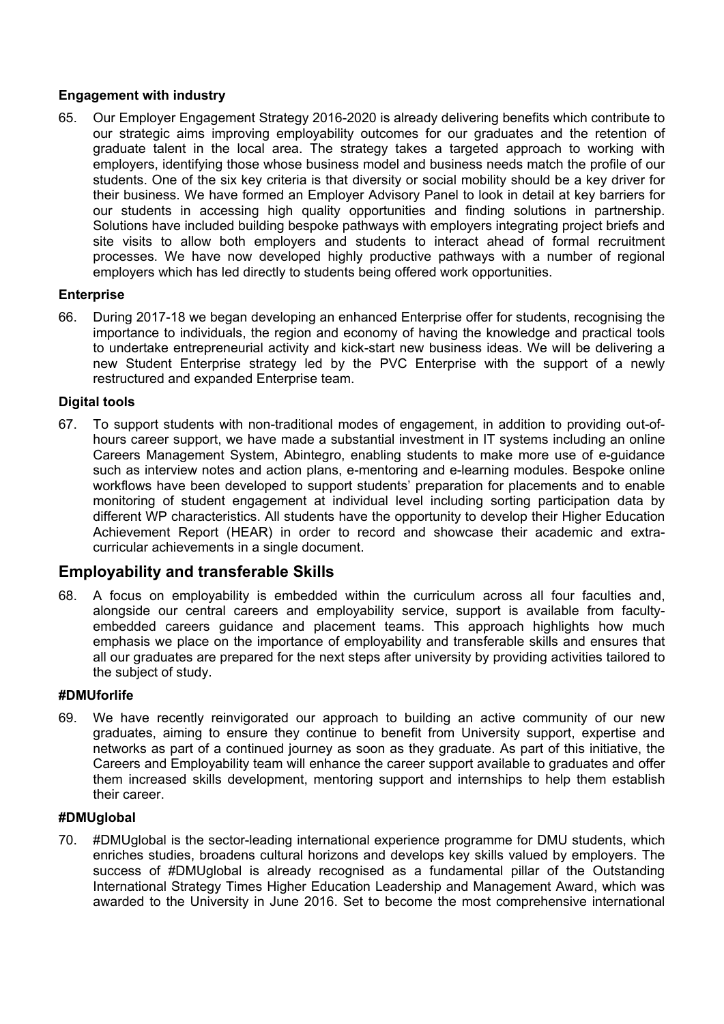## **Engagement with industry**

65. Our Employer Engagement Strategy 2016-2020 is already delivering benefits which contribute to our strategic aims improving employability outcomes for our graduates and the retention of graduate talent in the local area. The strategy takes a targeted approach to working with employers, identifying those whose business model and business needs match the profile of our students. One of the six key criteria is that diversity or social mobility should be a key driver for their business. We have formed an Employer Advisory Panel to look in detail at key barriers for our students in accessing high quality opportunities and finding solutions in partnership. Solutions have included building bespoke pathways with employers integrating project briefs and site visits to allow both employers and students to interact ahead of formal recruitment processes. We have now developed highly productive pathways with a number of regional employers which has led directly to students being offered work opportunities.

## **Enterprise**

66. During 2017-18 we began developing an enhanced Enterprise offer for students, recognising the importance to individuals, the region and economy of having the knowledge and practical tools to undertake entrepreneurial activity and kick-start new business ideas. We will be delivering a new Student Enterprise strategy led by the PVC Enterprise with the support of a newly restructured and expanded Enterprise team.

## **Digital tools**

67. To support students with non-traditional modes of engagement, in addition to providing out-ofhours career support, we have made a substantial investment in IT systems including an online Careers Management System, Abintegro, enabling students to make more use of e-guidance such as interview notes and action plans, e-mentoring and e-learning modules. Bespoke online workflows have been developed to support students' preparation for placements and to enable monitoring of student engagement at individual level including sorting participation data by different WP characteristics. All students have the opportunity to develop their Higher Education Achievement Report (HEAR) in order to record and showcase their academic and extracurricular achievements in a single document.

# **Employability and transferable Skills**

68. A focus on employability is embedded within the curriculum across all four faculties and, alongside our central careers and employability service, support is available from facultyembedded careers guidance and placement teams. This approach highlights how much emphasis we place on the importance of employability and transferable skills and ensures that all our graduates are prepared for the next steps after university by providing activities tailored to the subject of study.

## **#DMUforlife**

69. We have recently reinvigorated our approach to building an active community of our new graduates, aiming to ensure they continue to benefit from University support, expertise and networks as part of a continued journey as soon as they graduate. As part of this initiative, the Careers and Employability team will enhance the career support available to graduates and offer them increased skills development, mentoring support and internships to help them establish their career.

## **#DMUglobal**

70. #DMUglobal is the sector-leading international experience programme for DMU students, which enriches studies, broadens cultural horizons and develops key skills valued by employers. The success of #DMUglobal is already recognised as a fundamental pillar of the Outstanding International Strategy Times Higher Education Leadership and Management Award, which was awarded to the University in June 2016. Set to become the most comprehensive international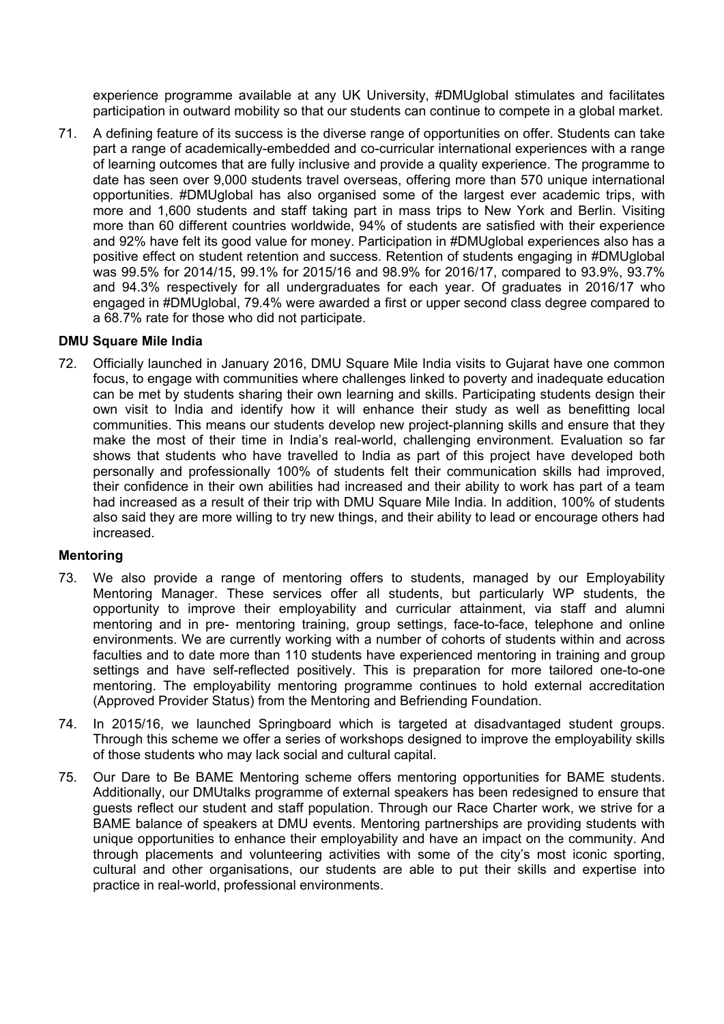experience programme available at any UK University, #DMUglobal stimulates and facilitates participation in outward mobility so that our students can continue to compete in a global market.

71. A defining feature of its success is the diverse range of opportunities on offer. Students can take part a range of academically-embedded and co-curricular international experiences with a range of learning outcomes that are fully inclusive and provide a quality experience. The programme to date has seen over 9,000 students travel overseas, offering more than 570 unique international opportunities. #DMUglobal has also organised some of the largest ever academic trips, with more and 1,600 students and staff taking part in mass trips to New York and Berlin. Visiting more than 60 different countries worldwide, 94% of students are satisfied with their experience and 92% have felt its good value for money. Participation in #DMUglobal experiences also has a positive effect on student retention and success. Retention of students engaging in #DMUglobal was 99.5% for 2014/15, 99.1% for 2015/16 and 98.9% for 2016/17, compared to 93.9%, 93.7% and 94.3% respectively for all undergraduates for each year. Of graduates in 2016/17 who engaged in #DMUglobal, 79.4% were awarded a first or upper second class degree compared to a 68.7% rate for those who did not participate.

#### **DMU Square Mile India**

72. Officially launched in January 2016, DMU Square Mile India visits to Gujarat have one common focus, to engage with communities where challenges linked to poverty and inadequate education can be met by students sharing their own learning and skills. Participating students design their own visit to India and identify how it will enhance their study as well as benefitting local communities. This means our students develop new project-planning skills and ensure that they make the most of their time in India's real-world, challenging environment. Evaluation so far shows that students who have travelled to India as part of this project have developed both personally and professionally 100% of students felt their communication skills had improved, their confidence in their own abilities had increased and their ability to work has part of a team had increased as a result of their trip with DMU Square Mile India. In addition, 100% of students also said they are more willing to try new things, and their ability to lead or encourage others had increased.

## **Mentoring**

- 73. We also provide a range of mentoring offers to students, managed by our Employability Mentoring Manager. These services offer all students, but particularly WP students, the opportunity to improve their employability and curricular attainment, via staff and alumni mentoring and in pre- mentoring training, group settings, face-to-face, telephone and online environments. We are currently working with a number of cohorts of students within and across faculties and to date more than 110 students have experienced mentoring in training and group settings and have self-reflected positively. This is preparation for more tailored one-to-one mentoring. The employability mentoring programme continues to hold external accreditation (Approved Provider Status) from the Mentoring and Befriending Foundation.
- 74. In 2015/16, we launched Springboard which is targeted at disadvantaged student groups. Through this scheme we offer a series of workshops designed to improve the employability skills of those students who may lack social and cultural capital.
- 75. Our [Dare to Be BAME Mentoring scheme](http://www.dmu.ac.uk/about-dmu/news/2017/february/baroness-lawrence-launches-vitally-important-new-dmu-mentoring-scheme.aspx) offers mentoring opportunities for BAME students. Additionally, our DMUtalks programme of external speakers has been redesigned to ensure that guests reflect our student and staff population. Through our Race Charter work, we strive for a BAME balance of speakers at DMU events. Mentoring partnerships are providing students with unique opportunities to enhance their employability and have an impact on the community. And through placements and volunteering activities with some of the city's most iconic sporting, cultural and other organisations, our students are able to put their skills and expertise into practice in real-world, professional environments.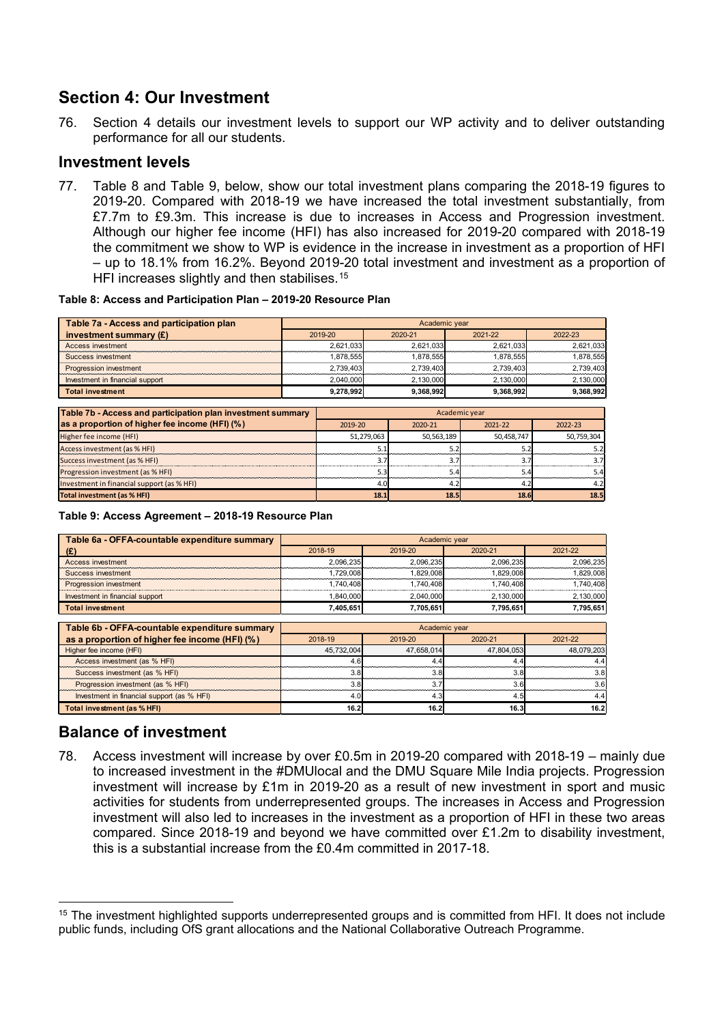# **Section 4: Our Investment**

76. Section 4 details our investment levels to support our WP activity and to deliver outstanding performance for all our students.

## **Investment levels**

77. [Table 8](#page-18-0) and Table [9,](#page-18-1) below, show our total investment plans comparing the 2018-19 figures to 2019-20. Compared with 2018-19 we have increased the total investment substantially, from £7.7m to £9.3m. This increase is due to increases in Access and Progression investment. Although our higher fee income (HFI) has also increased for 2019-20 compared with 2018-19 the commitment we show to WP is evidence in the increase in investment as a proportion of HFI – up to 18.1% from 16.2%. Beyond 2019-20 total investment and investment as a proportion of HFI increases slightly and then stabilises.<sup>[15](#page-18-2)</sup>

#### <span id="page-18-0"></span>**Table 8: Access and Participation Plan – 2019-20 Resource Plan**

| Table 7a - Access and participation plan | Academic year |           |           |           |  |  |  |  |  |
|------------------------------------------|---------------|-----------|-----------|-----------|--|--|--|--|--|
| investment summary $(E)$                 | 2019-20       | 2020-21   | 2021-22   | 2022-23   |  |  |  |  |  |
| Access investment                        | 2.621.033     | 2.621.033 | 2.621.033 | 2.621.033 |  |  |  |  |  |
| Success investment                       | 1.878.555     | 1.878.555 | 1.878.555 | 1.878.555 |  |  |  |  |  |
| Progression investment                   | 2.739.403     | 2.739.403 | 2.739.403 | 2.739.403 |  |  |  |  |  |
| Investment in financial support          | 2.040.000     | 2,130,000 | 2.130.000 | 2.130.000 |  |  |  |  |  |
| <b>Total investment</b>                  | 9.278.992     | 9.368.992 | 9.368.992 | 9.368.992 |  |  |  |  |  |

| Table 7b - Access and participation plan investment summary | Academic year |            |             |             |  |  |  |  |
|-------------------------------------------------------------|---------------|------------|-------------|-------------|--|--|--|--|
| as a proportion of higher fee income (HFI) (%)              | 2019-20       | 2020-21    | $2021 - 22$ | $2022 - 23$ |  |  |  |  |
| Higher fee income (HFI)                                     | 51,279,063    | 50,563,189 | 50.458.747  | 50,759,304  |  |  |  |  |
| Access investment (as % HFI)                                |               | 5.2        |             |             |  |  |  |  |
| Success investment (as % HFI)                               | 3.7           | 3.7        |             |             |  |  |  |  |
| Progression investment (as % HFI)                           | 5.3           | 5.4        | 5.4         | 5.4         |  |  |  |  |
| Investment in financial support (as % HFI)                  | 4.0           | 4.2        | 4.2         | 4.2         |  |  |  |  |
| <b>Total investment (as % HFI)</b>                          | 18.1          | 18.5       | <b>18.6</b> | 18.5        |  |  |  |  |

#### <span id="page-18-1"></span>**Table 9: Access Agreement – 2018-19 Resource Plan**

| Table 6a - OFFA-countable expenditure summary | Academic year                            |           |           |           |  |  |  |  |  |
|-----------------------------------------------|------------------------------------------|-----------|-----------|-----------|--|--|--|--|--|
| (E)                                           | 2018-19<br>2019-20<br>2020-21<br>2021-22 |           |           |           |  |  |  |  |  |
| Access investment                             | 2.096.235                                | 2.096.235 | 2.096.235 | 2.096.235 |  |  |  |  |  |
| Success investment                            | 1.729.008                                | .829.008  | 1.829.008 | 1.829.008 |  |  |  |  |  |
| Progression investment                        | 1.740.408                                | 1.740.408 | 1.740.408 | 1.740.408 |  |  |  |  |  |
| Investment in financial support               | 1.840.000                                | 2.040.000 | 2.130.000 | 2.130.000 |  |  |  |  |  |
| <b>Total investment</b>                       | 7.405.651                                | 7.705.651 | 7.795.651 | 7,795,651 |  |  |  |  |  |

| Table 6b - OFFA-countable expenditure summary  | Academic year |            |            |            |  |  |  |  |  |
|------------------------------------------------|---------------|------------|------------|------------|--|--|--|--|--|
| as a proportion of higher fee income (HFI) (%) | 2018-19       | 2019-20    | 2020-21    | 2021-22    |  |  |  |  |  |
| Higher fee income (HFI)                        | 45.732.004    | 47.658.014 | 47.804.053 | 48.079.203 |  |  |  |  |  |
| Access investment (as % HFI)                   | 4.6           |            |            |            |  |  |  |  |  |
| Success investment (as % HFI)                  | 3.8           | 3.81       | 3.8        | 3 P        |  |  |  |  |  |
| Progression investment (as % HFI)              | 3.8           |            |            |            |  |  |  |  |  |
| Investment in financial support (as % HFI)     | 4.0           | 4.3        | 4.5        |            |  |  |  |  |  |
| Total investment (as % HFI)                    | 16.2          | 16.2       | 16.3       | 16.2       |  |  |  |  |  |

# **Balance of investment**

78. Access investment will increase by over £0.5m in 2019-20 compared with 2018-19 – mainly due to increased investment in the #DMUlocal and the DMU Square Mile India projects. Progression investment will increase by £1m in 2019-20 as a result of new investment in sport and music activities for students from underrepresented groups. The increases in Access and Progression investment will also led to increases in the investment as a proportion of HFI in these two areas compared. Since 2018-19 and beyond we have committed over £1.2m to disability investment, this is a substantial increase from the £0.4m committed in 2017-18.

<span id="page-18-2"></span><sup>&</sup>lt;sup>15</sup> The investment highlighted supports underrepresented groups and is committed from HFI. It does not include public funds, including OfS grant allocations and the National Collaborative Outreach Programme.